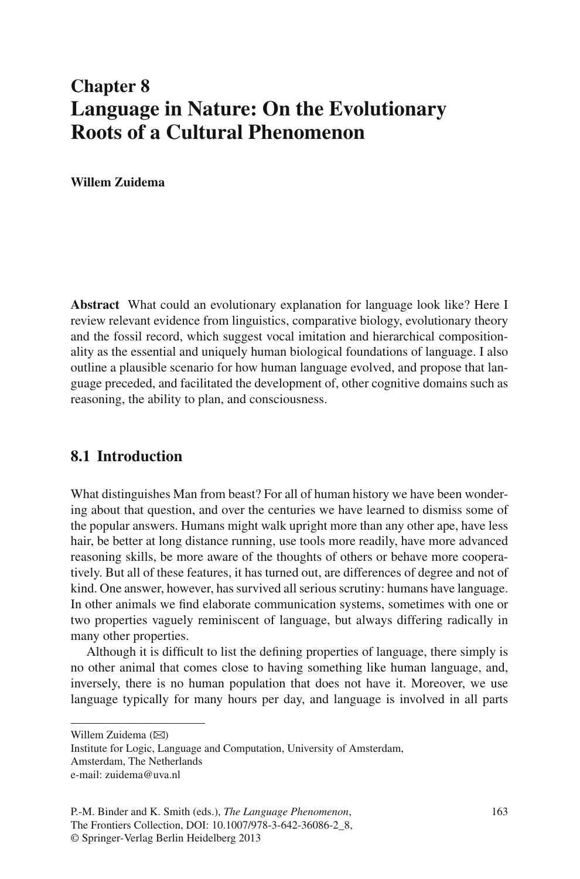# **Chapter 8 Language in Nature: On the Evolutionary Roots of a Cultural Phenomenon**

**Willem Zuidema**

**Abstract** What could an evolutionary explanation for language look like? Here I review relevant evidence from linguistics, comparative biology, evolutionary theory and the fossil record, which suggest vocal imitation and hierarchical compositionality as the essential and uniquely human biological foundations of language. I also outline a plausible scenario for how human language evolved, and propose that language preceded, and facilitated the development of, other cognitive domains such as reasoning, the ability to plan, and consciousness.

## **8.1 Introduction**

What distinguishes Man from beast? For all of human history we have been wondering about that question, and over the centuries we have learned to dismiss some of the popular answers. Humans might walk upright more than any other ape, have less hair, be better at long distance running, use tools more readily, have more advanced reasoning skills, be more aware of the thoughts of others or behave more cooperatively. But all of these features, it has turned out, are differences of degree and not of kind. One answer, however, has survived all serious scrutiny: humans have language. In other animals we find elaborate communication systems, sometimes with one or two properties vaguely reminiscent of language, but always differing radically in many other properties.

Although it is difficult to list the defining properties of language, there simply is no other animal that comes close to having something like human language, and, inversely, there is no human population that does not have it. Moreover, we use language typically for many hours per day, and language is involved in all parts

Willem Zuidema *(*B*)*

Institute for Logic, Language and Computation, University of Amsterdam, Amsterdam, The Netherlands e-mail: zuidema@uva.nl

P.-M. Binder and K. Smith (eds.), *The Language Phenomenon*, 163 The Frontiers Collection, DOI: 10.1007/978-3-642-36086-2\_8, © Springer-Verlag Berlin Heidelberg 2013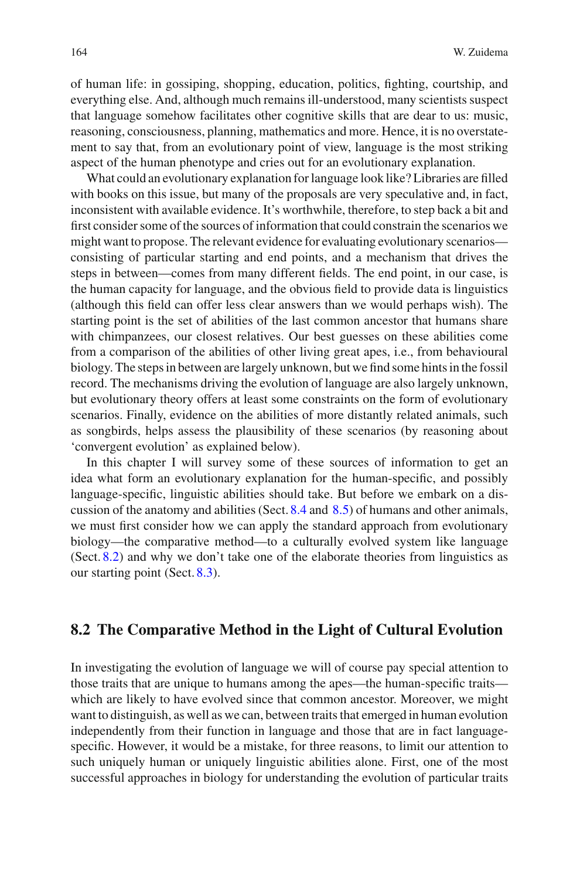of human life: in gossiping, shopping, education, politics, fighting, courtship, and everything else. And, although much remains ill-understood, many scientists suspect that language somehow facilitates other cognitive skills that are dear to us: music, reasoning, consciousness, planning, mathematics and more. Hence, it is no overstatement to say that, from an evolutionary point of view, language is the most striking aspect of the human phenotype and cries out for an evolutionary explanation.

What could an evolutionary explanation for language look like? Libraries are filled with books on this issue, but many of the proposals are very speculative and, in fact, inconsistent with available evidence. It's worthwhile, therefore, to step back a bit and first consider some of the sources of information that could constrain the scenarios we might want to propose. The relevant evidence for evaluating evolutionary scenarios consisting of particular starting and end points, and a mechanism that drives the steps in between—comes from many different fields. The end point, in our case, is the human capacity for language, and the obvious field to provide data is linguistics (although this field can offer less clear answers than we would perhaps wish). The starting point is the set of abilities of the last common ancestor that humans share with chimpanzees, our closest relatives. Our best guesses on these abilities come from a comparison of the abilities of other living great apes, i.e., from behavioural biology. The steps in between are largely unknown, but we find some hints in the fossil record. The mechanisms driving the evolution of language are also largely unknown, but evolutionary theory offers at least some constraints on the form of evolutionary scenarios. Finally, evidence on the abilities of more distantly related animals, such as songbirds, helps assess the plausibility of these scenarios (by reasoning about 'convergent evolution' as explained below).

In this chapter I will survey some of these sources of information to get an idea what form an evolutionary explanation for the human-specific, and possibly language-specific, linguistic abilities should take. But before we embark on a discussion of the anatomy and abilities (Sect. [8.4](#page-4-0) and [8.5\)](#page-8-0) of humans and other animals, we must first consider how we can apply the standard approach from evolutionary biology—the comparative method—to a culturally evolved system like language (Sect. [8.2\)](#page-1-0) and why we don't take one of the elaborate theories from linguistics as our starting point (Sect. [8.3\)](#page-3-0).

## <span id="page-1-0"></span>**8.2 The Comparative Method in the Light of Cultural Evolution**

In investigating the evolution of language we will of course pay special attention to those traits that are unique to humans among the apes—the human-specific traits which are likely to have evolved since that common ancestor. Moreover, we might want to distinguish, as well as we can, between traits that emerged in human evolution independently from their function in language and those that are in fact languagespecific. However, it would be a mistake, for three reasons, to limit our attention to such uniquely human or uniquely linguistic abilities alone. First, one of the most successful approaches in biology for understanding the evolution of particular traits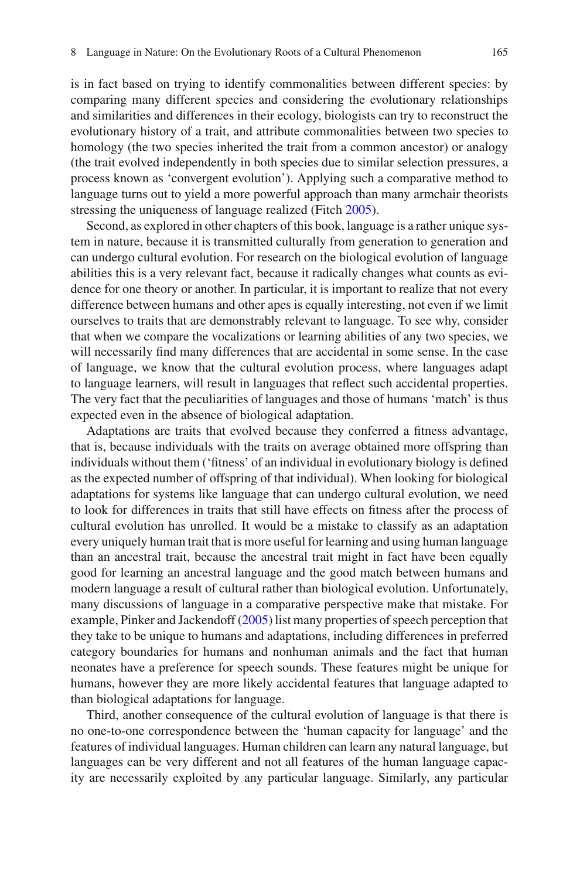is in fact based on trying to identify commonalities between different species: by comparing many different species and considering the evolutionary relationships and similarities and differences in their ecology, biologists can try to reconstruct the evolutionary history of a trait, and attribute commonalities between two species to homology (the two species inherited the trait from a common ancestor) or analogy (the trait evolved independently in both species due to similar selection pressures, a process known as 'convergent evolution'). Applying such a comparative method to language turns out to yield a more powerful approach than many armchair theorists stressing the uniqueness of language realized (Fitc[h](#page-24-0) [2005\)](#page-24-0).

Second, as explored in other chapters of this book, language is a rather unique system in nature, because it is transmitted culturally from generation to generation and can undergo cultural evolution. For research on the biological evolution of language abilities this is a very relevant fact, because it radically changes what counts as evidence for one theory or another. In particular, it is important to realize that not every difference between humans and other apes is equally interesting, not even if we limit ourselves to traits that are demonstrably relevant to language. To see why, consider that when we compare the vocalizations or learning abilities of any two species, we will necessarily find many differences that are accidental in some sense. In the case of language, we know that the cultural evolution process, where languages adapt to language learners, will result in languages that reflect such accidental properties. The very fact that the peculiarities of languages and those of humans 'match' is thus expected even in the absence of biological adaptation.

Adaptations are traits that evolved because they conferred a fitness advantage, that is, because individuals with the traits on average obtained more offspring than individuals without them ('fitness' of an individual in evolutionary biology is defined as the expected number of offspring of that individual). When looking for biological adaptations for systems like language that can undergo cultural evolution, we need to look for differences in traits that still have effects on fitness after the process of cultural evolution has unrolled. It would be a mistake to classify as an adaptation every uniquely human trait that is more useful for learning and using human language than an ancestral trait, because the ancestral trait might in fact have been equally good for learning an ancestral language and the good match between humans and modern language a result of cultural rather than biological evolution. Unfortunately, many discussions of language in a comparative perspective make that mistake. For example, Pinker and Jackendof[f](#page-25-0) [\(2005](#page-25-0)) list many properties of speech perception that they take to be unique to humans and adaptations, including differences in preferred category boundaries for humans and nonhuman animals and the fact that human neonates have a preference for speech sounds. These features might be unique for humans, however they are more likely accidental features that language adapted to than biological adaptations for language.

Third, another consequence of the cultural evolution of language is that there is no one-to-one correspondence between the 'human capacity for language' and the features of individual languages. Human children can learn any natural language, but languages can be very different and not all features of the human language capacity are necessarily exploited by any particular language. Similarly, any particular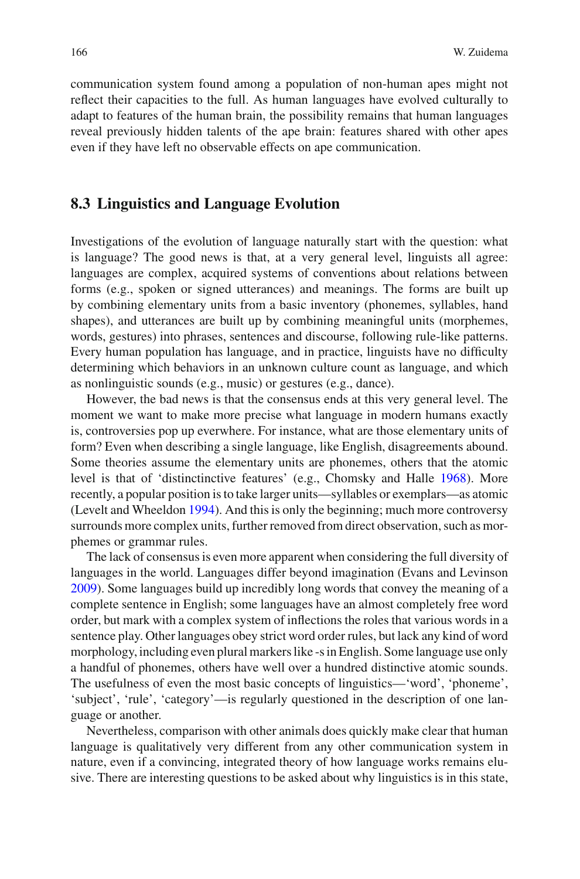communication system found among a population of non-human apes might not reflect their capacities to the full. As human languages have evolved culturally to adapt to features of the human brain, the possibility remains that human languages reveal previously hidden talents of the ape brain: features shared with other apes even if they have left no observable effects on ape communication.

## <span id="page-3-0"></span>**8.3 Linguistics and Language Evolution**

Investigations of the evolution of language naturally start with the question: what is language? The good news is that, at a very general level, linguists all agree: languages are complex, acquired systems of conventions about relations between forms (e.g., spoken or signed utterances) and meanings. The forms are built up by combining elementary units from a basic inventory (phonemes, syllables, hand shapes), and utterances are built up by combining meaningful units (morphemes, words, gestures) into phrases, sentences and discourse, following rule-like patterns. Every human population has language, and in practice, linguists have no difficulty determining which behaviors in an unknown culture count as language, and which as nonlinguistic sounds (e.g., music) or gestures (e.g., dance).

However, the bad news is that the consensus ends at this very general level. The moment we want to make more precise what language in modern humans exactly is, controversies pop up everwhere. For instance, what are those elementary units of form? Even when describing a single language, like English, disagreements abound. Some theories assume the elementary units are phonemes, others that the atomic level is that of 'distinctinctive features' (e.g., Chomsky and Hall[e](#page-24-1) [1968\)](#page-24-1). More recently, a popular position is to take larger units—syllables or exemplars—as atomic (Levelt and Wheeldo[n](#page-25-1) [1994\)](#page-25-1). And this is only the beginning; much more controversy surrounds more complex units, further removed from direct observation, such as morphemes or grammar rules.

The lack of consensus is even more apparent when considering the full diversity of languages in the world. Languages differ beyond imagination (Evans and Levinso[n](#page-24-2) [2009](#page-24-2)). Some languages build up incredibly long words that convey the meaning of a complete sentence in English; some languages have an almost completely free word order, but mark with a complex system of inflections the roles that various words in a sentence play. Other languages obey strict word order rules, but lack any kind of word morphology, including even plural markers like -s in English. Some language use only a handful of phonemes, others have well over a hundred distinctive atomic sounds. The usefulness of even the most basic concepts of linguistics—'word', 'phoneme', 'subject', 'rule', 'category'—is regularly questioned in the description of one language or another.

Nevertheless, comparison with other animals does quickly make clear that human language is qualitatively very different from any other communication system in nature, even if a convincing, integrated theory of how language works remains elusive. There are interesting questions to be asked about why linguistics is in this state,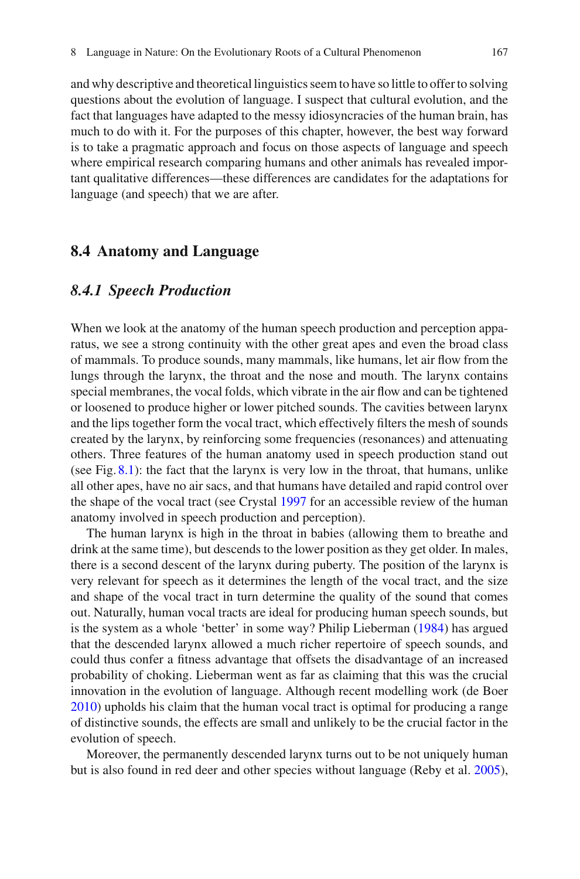and why descriptive and theoretical linguistics seem to have so little to offer to solving questions about the evolution of language. I suspect that cultural evolution, and the fact that languages have adapted to the messy idiosyncracies of the human brain, has much to do with it. For the purposes of this chapter, however, the best way forward is to take a pragmatic approach and focus on those aspects of language and speech where empirical research comparing humans and other animals has revealed important qualitative differences—these differences are candidates for the adaptations for language (and speech) that we are after.

#### <span id="page-4-0"></span>**8.4 Anatomy and Language**

#### *8.4.1 Speech Production*

When we look at the anatomy of the human speech production and perception apparatus, we see a strong continuity with the other great apes and even the broad class of mammals. To produce sounds, many mammals, like humans, let air flow from the lungs through the larynx, the throat and the nose and mouth. The larynx contains special membranes, the vocal folds, which vibrate in the air flow and can be tightened or loosened to produce higher or lower pitched sounds. The cavities between larynx and the lips together form the vocal tract, which effectively filters the mesh of sounds created by the larynx, by reinforcing some frequencies (resonances) and attenuating others. Three features of the human anatomy used in speech production stand out (see Fig.  $8.1$ ): the fact that the larynx is very low in the throat, that humans, unlike all other apes, have no air sacs, and that humans have detailed and rapid control over the shape of the vocal tract (see Crysta[l](#page-24-3) [1997](#page-24-3) for an accessible review of the human anatomy involved in speech production and perception).

The human larynx is high in the throat in babies (allowing them to breathe and drink at the same time), but descends to the lower position as they get older. In males, there is a second descent of the larynx during puberty. The position of the larynx is very relevant for speech as it determines the length of the vocal tract, and the size and shape of the vocal tract in turn determine the quality of the sound that comes out. Naturally, human vocal tracts are ideal for producing human speech sounds, but is the system as a whole 'better' in some way? Philip Lieberman [\(1984\)](#page-25-2) has argued that the descended larynx allowed a much richer repertoire of speech sounds, and could thus confer a fitness advantage that offsets the disadvantage of an increased probability of choking. Lieberman went as far as claiming that this was the crucial innovation in the evolution of language. Although recent modelling work (de Boe[r](#page-24-4) [2010](#page-24-4)) upholds his claim that the human vocal tract is optimal for producing a range of distinctive sounds, the effects are small and unlikely to be the crucial factor in the evolution of speech.

Moreover, the permanently descended larynx turns out to be not uniquely human but is also found in red deer and other species without language (Reby et al[.](#page-25-3) [2005](#page-25-3)),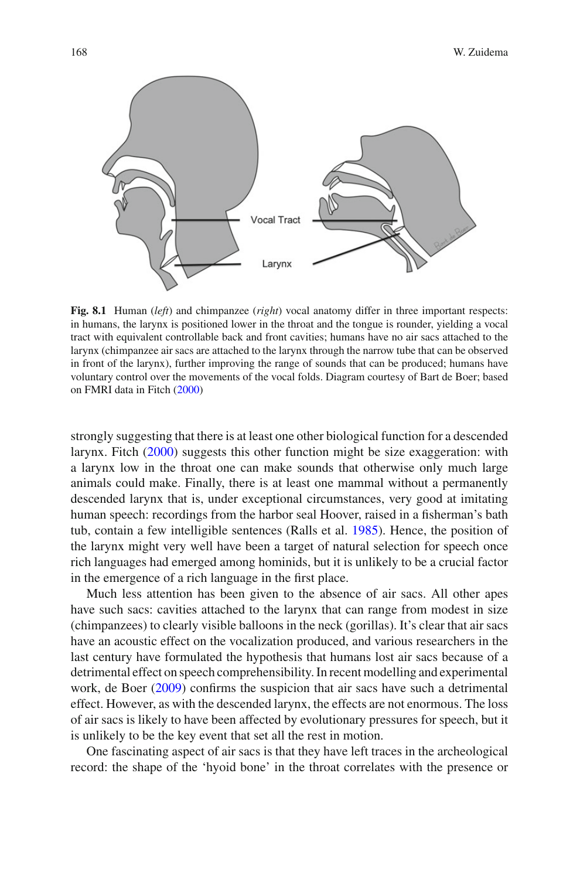

<span id="page-5-0"></span>**Fig. 8.1** Human (*left*) and chimpanzee (*right*) vocal anatomy differ in three important respects: in humans, the larynx is positioned lower in the throat and the tongue is rounder, yielding a vocal tract with equivalent controllable back and front cavities; humans have no air sacs attached to the larynx (chimpanzee air sacs are attached to the larynx through the narrow tube that can be observed in front of the larynx), further improving the range of sounds that can be produced; humans have voluntary control over the movements of the vocal folds. Diagram courtesy of Bart de Boer; based on FMRI data in Fitc[h](#page-24-5) [\(2000](#page-24-5))

strongly suggesting that there is at least one other biological function for a descended larynx. Fitc[h](#page-24-5) [\(2000\)](#page-24-5) suggests this other function might be size exaggeration: with a larynx low in the throat one can make sounds that otherwise only much large animals could make. Finally, there is at least one mammal without a permanently descended larynx that is, under exceptional circumstances, very good at imitating human speech: recordings from the harbor seal Hoover, raised in a fisherman's bath tub, contain a few intelligible sentences (Ralls et al[.](#page-25-4) [1985\)](#page-25-4). Hence, the position of the larynx might very well have been a target of natural selection for speech once rich languages had emerged among hominids, but it is unlikely to be a crucial factor in the emergence of a rich language in the first place.

Much less attention has been given to the absence of air sacs. All other apes have such sacs: cavities attached to the larynx that can range from modest in size (chimpanzees) to clearly visible balloons in the neck (gorillas). It's clear that air sacs have an acoustic effect on the vocalization produced, and various researchers in the last century have formulated the hypothesis that humans lost air sacs because of a detrimental effect on speech comprehensibility. In recent modelling and experimental work, de Boe[r](#page-24-6) [\(2009\)](#page-24-6) confirms the suspicion that air sacs have such a detrimental effect. However, as with the descended larynx, the effects are not enormous. The loss of air sacs is likely to have been affected by evolutionary pressures for speech, but it is unlikely to be the key event that set all the rest in motion.

One fascinating aspect of air sacs is that they have left traces in the archeological record: the shape of the 'hyoid bone' in the throat correlates with the presence or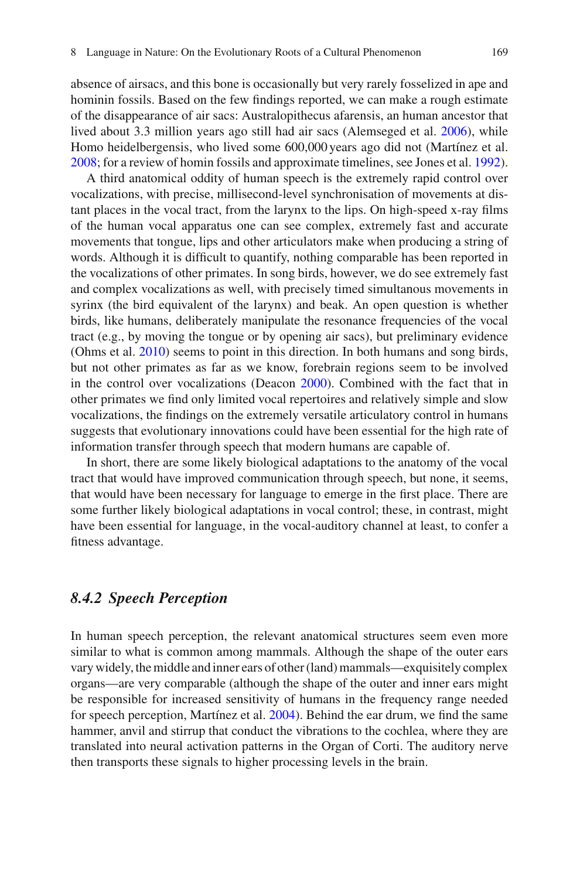absence of airsacs, and this bone is occasionally but very rarely fosselized in ape and hominin fossils. Based on the few findings reported, we can make a rough estimate of the disappearance of air sacs: Australopithecus afarensis, an human ancestor that lived about 3.3 million years ago still had air sacs (Alemseged et al[.](#page-24-7) [2006](#page-24-7)), while Homo heidelbergensis, who lived some 600,000 years ago did not (Martínez et al[.](#page-25-5) [2008](#page-25-5); for a review of homin fossils and approximate timelines, see Jones et al[.](#page-25-6) [1992](#page-25-6)).

A third anatomical oddity of human speech is the extremely rapid control over vocalizations, with precise, millisecond-level synchronisation of movements at distant places in the vocal tract, from the larynx to the lips. On high-speed x-ray films of the human vocal apparatus one can see complex, extremely fast and accurate movements that tongue, lips and other articulators make when producing a string of words. Although it is difficult to quantify, nothing comparable has been reported in the vocalizations of other primates. In song birds, however, we do see extremely fast and complex vocalizations as well, with precisely timed simultanous movements in syrinx (the bird equivalent of the larynx) and beak. An open question is whether birds, like humans, deliberately manipulate the resonance frequencies of the vocal tract (e.g., by moving the tongue or by opening air sacs), but preliminary evidence (Ohms et al[.](#page-25-7) [2010](#page-25-7)) seems to point in this direction. In both humans and song birds, but not other primates as far as we know, forebrain regions seem to be involved in the control over vocalizations (Deaco[n](#page-24-8) [2000\)](#page-24-8). Combined with the fact that in other primates we find only limited vocal repertoires and relatively simple and slow vocalizations, the findings on the extremely versatile articulatory control in humans suggests that evolutionary innovations could have been essential for the high rate of information transfer through speech that modern humans are capable of.

In short, there are some likely biological adaptations to the anatomy of the vocal tract that would have improved communication through speech, but none, it seems, that would have been necessary for language to emerge in the first place. There are some further likely biological adaptations in vocal control; these, in contrast, might have been essential for language, in the vocal-auditory channel at least, to confer a fitness advantage.

#### *8.4.2 Speech Perception*

In human speech perception, the relevant anatomical structures seem even more similar to what is common among mammals. Although the shape of the outer ears vary widely, the middle and inner ears of other (land) mammals—exquisitely complex organs—are very comparable (although the shape of the outer and inner ears might be responsible for increased sensitivity of humans in the frequency range needed for speech perception, Martínez et al[.](#page-25-8) [2004\)](#page-25-8). Behind the ear drum, we find the same hammer, anvil and stirrup that conduct the vibrations to the cochlea, where they are translated into neural activation patterns in the Organ of Corti. The auditory nerve then transports these signals to higher processing levels in the brain.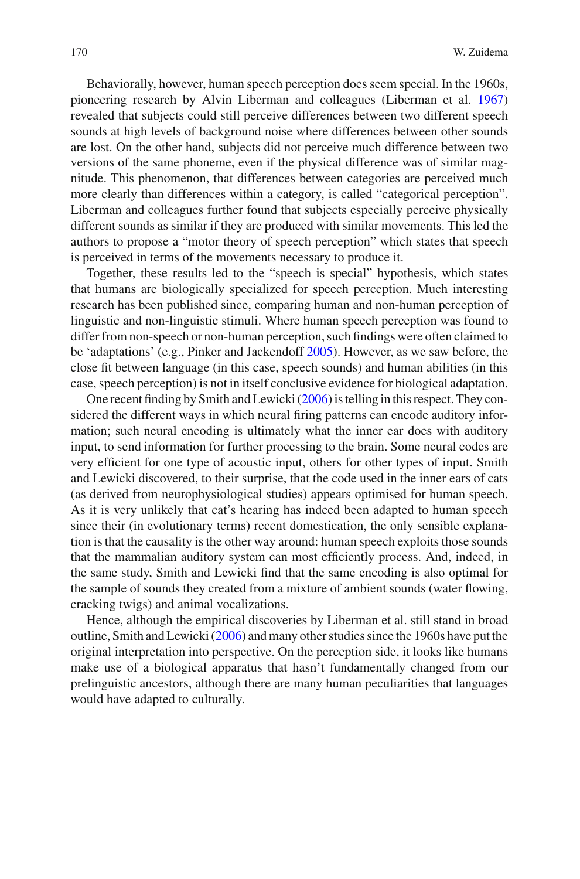Behaviorally, however, human speech perception does seem special. In the 1960s, pioneering research by Alvin Liberman and colleagues (Liberman et al[.](#page-25-9) [1967\)](#page-25-9) revealed that subjects could still perceive differences between two different speech sounds at high levels of background noise where differences between other sounds are lost. On the other hand, subjects did not perceive much difference between two versions of the same phoneme, even if the physical difference was of similar magnitude. This phenomenon, that differences between categories are perceived much more clearly than differences within a category, is called "categorical perception". Liberman and colleagues further found that subjects especially perceive physically different sounds as similar if they are produced with similar movements. This led the authors to propose a "motor theory of speech perception" which states that speech is perceived in terms of the movements necessary to produce it.

Together, these results led to the "speech is special" hypothesis, which states that humans are biologically specialized for speech perception. Much interesting research has been published since, comparing human and non-human perception of linguistic and non-linguistic stimuli. Where human speech perception was found to differ from non-speech or non-human perception, such findings were often claimed to be 'adaptations' (e.g., Pinker and Jackendof[f](#page-25-0) [2005](#page-25-0)). However, as we saw before, the close fit between language (in this case, speech sounds) and human abilities (in this case, speech perception) is not in itself conclusive evidence for biological adaptation.

One recent finding by Smith and Lewick[i](#page-26-0) [\(2006\)](#page-26-0) is telling in this respect. They considered the different ways in which neural firing patterns can encode auditory information; such neural encoding is ultimately what the inner ear does with auditory input, to send information for further processing to the brain. Some neural codes are very efficient for one type of acoustic input, others for other types of input. Smith and Lewicki discovered, to their surprise, that the code used in the inner ears of cats (as derived from neurophysiological studies) appears optimised for human speech. As it is very unlikely that cat's hearing has indeed been adapted to human speech since their (in evolutionary terms) recent domestication, the only sensible explanation is that the causality is the other way around: human speech exploits those sounds that the mammalian auditory system can most efficiently process. And, indeed, in the same study, Smith and Lewicki find that the same encoding is also optimal for the sample of sounds they created from a mixture of ambient sounds (water flowing, cracking twigs) and animal vocalizations.

Hence, although the empirical discoveries by Liberman et al. still stand in broad outline, Smith and Lewick[i](#page-26-0) [\(2006](#page-26-0)) and many other studies since the 1960s have put the original interpretation into perspective. On the perception side, it looks like humans make use of a biological apparatus that hasn't fundamentally changed from our prelinguistic ancestors, although there are many human peculiarities that languages would have adapted to culturally.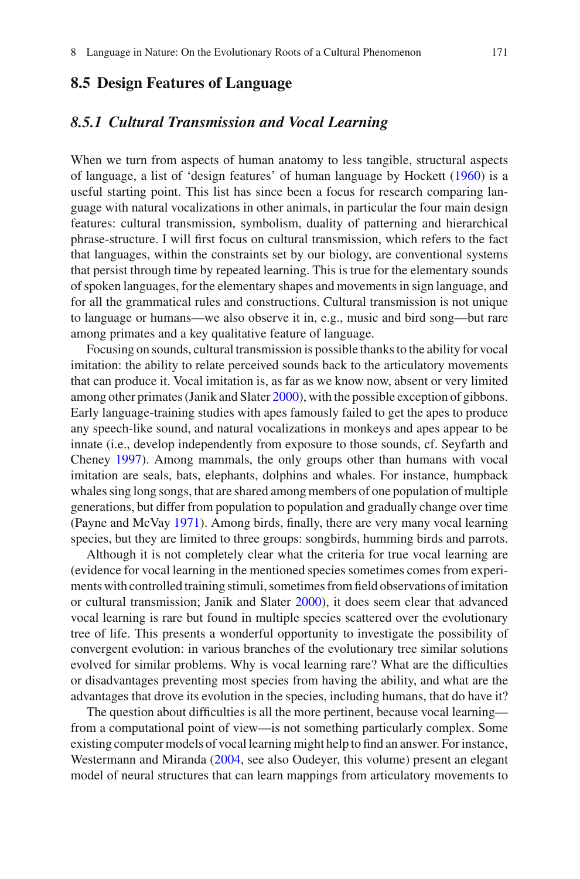## <span id="page-8-0"></span>**8.5 Design Features of Language**

#### *8.5.1 Cultural Transmission and Vocal Learning*

When we turn from aspects of human anatomy to less tangible, structural aspects of language, a list of 'design features' of human language by Hocket[t](#page-25-10) [\(1960](#page-25-10)) is a useful starting point. This list has since been a focus for research comparing language with natural vocalizations in other animals, in particular the four main design features: cultural transmission, symbolism, duality of patterning and hierarchical phrase-structure. I will first focus on cultural transmission, which refers to the fact that languages, within the constraints set by our biology, are conventional systems that persist through time by repeated learning. This is true for the elementary sounds of spoken languages, for the elementary shapes and movements in sign language, and for all the grammatical rules and constructions. Cultural transmission is not unique to language or humans—we also observe it in, e.g., music and bird song—but rare among primates and a key qualitative feature of language.

Focusing on sounds, cultural transmission is possible thanks to the ability for vocal imitation: the ability to relate perceived sounds back to the articulatory movements that can produce it. Vocal imitation is, as far as we know now, absent or very limited among other primates (Janik and Slate[r](#page-25-11) [2000\)](#page-25-11), with the possible exception of gibbons. Early language-training studies with apes famously failed to get the apes to produce any speech-like sound, and natural vocalizations in monkeys and apes appear to be innate (i.e., develop independently from exposure to those sounds, cf. Seyfarth and Chene[y](#page-26-1) [1997](#page-26-1)). Among mammals, the only groups other than humans with vocal imitation are seals, bats, elephants, dolphins and whales. For instance, humpback whales sing long songs, that are shared among members of one population of multiple generations, but differ from population to population and gradually change over time (Payne and McVa[y](#page-25-12) [1971\)](#page-25-12). Among birds, finally, there are very many vocal learning species, but they are limited to three groups: songbirds, humming birds and parrots.

Although it is not completely clear what the criteria for true vocal learning are (evidence for vocal learning in the mentioned species sometimes comes from experiments with controlled training stimuli, sometimes from field observations of imitation or cultural transmission; Janik and Slate[r](#page-25-11) [2000\)](#page-25-11), it does seem clear that advanced vocal learning is rare but found in multiple species scattered over the evolutionary tree of life. This presents a wonderful opportunity to investigate the possibility of convergent evolution: in various branches of the evolutionary tree similar solutions evolved for similar problems. Why is vocal learning rare? What are the difficulties or disadvantages preventing most species from having the ability, and what are the advantages that drove its evolution in the species, including humans, that do have it?

The question about difficulties is all the more pertinent, because vocal learning from a computational point of view—is not something particularly complex. Some existing computer models of vocal learning might help to find an answer. For instance, Westermann and Miranda [\(2004](#page-26-2), see also Oudeyer, this volume) present an elegant model of neural structures that can learn mappings from articulatory movements to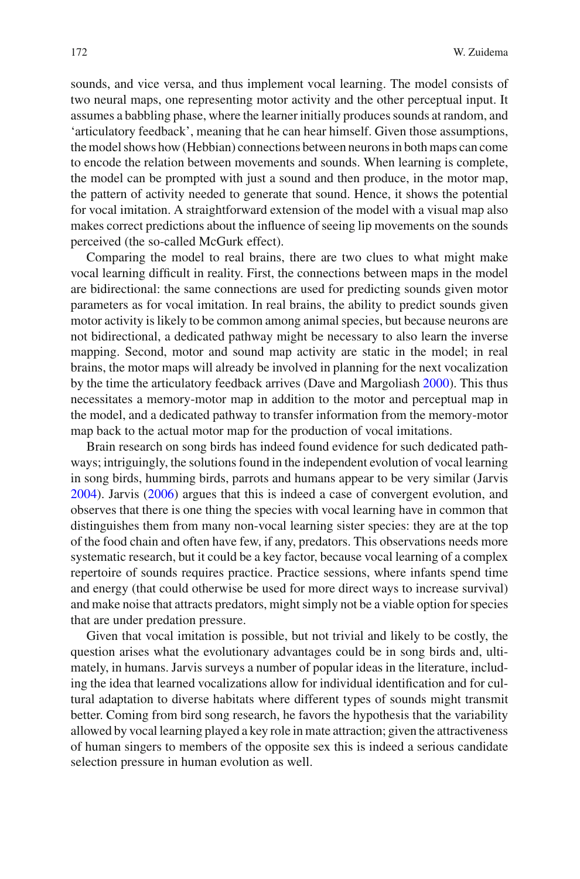sounds, and vice versa, and thus implement vocal learning. The model consists of two neural maps, one representing motor activity and the other perceptual input. It assumes a babbling phase, where the learner initially produces sounds at random, and 'articulatory feedback', meaning that he can hear himself. Given those assumptions, the model shows how (Hebbian) connections between neurons in both maps can come to encode the relation between movements and sounds. When learning is complete, the model can be prompted with just a sound and then produce, in the motor map, the pattern of activity needed to generate that sound. Hence, it shows the potential for vocal imitation. A straightforward extension of the model with a visual map also makes correct predictions about the influence of seeing lip movements on the sounds perceived (the so-called McGurk effect).

Comparing the model to real brains, there are two clues to what might make vocal learning difficult in reality. First, the connections between maps in the model are bidirectional: the same connections are used for predicting sounds given motor parameters as for vocal imitation. In real brains, the ability to predict sounds given motor activity is likely to be common among animal species, but because neurons are not bidirectional, a dedicated pathway might be necessary to also learn the inverse mapping. Second, motor and sound map activity are static in the model; in real brains, the motor maps will already be involved in planning for the next vocalization by the time the articulatory feedback arrives (Dave and Margolias[h](#page-24-9) [2000\)](#page-24-9). This thus necessitates a memory-motor map in addition to the motor and perceptual map in the model, and a dedicated pathway to transfer information from the memory-motor map back to the actual motor map for the production of vocal imitations.

Brain research on song birds has indeed found evidence for such dedicated pathways; intriguingly, the solutions found in the independent evolution of vocal learning in song birds, humming birds, parrots and humans appear to be very similar (Jarvi[s](#page-25-13) [2004](#page-25-13)). Jarvi[s](#page-25-14) [\(2006\)](#page-25-14) argues that this is indeed a case of convergent evolution, and observes that there is one thing the species with vocal learning have in common that distinguishes them from many non-vocal learning sister species: they are at the top of the food chain and often have few, if any, predators. This observations needs more systematic research, but it could be a key factor, because vocal learning of a complex repertoire of sounds requires practice. Practice sessions, where infants spend time and energy (that could otherwise be used for more direct ways to increase survival) and make noise that attracts predators, might simply not be a viable option for species that are under predation pressure.

Given that vocal imitation is possible, but not trivial and likely to be costly, the question arises what the evolutionary advantages could be in song birds and, ultimately, in humans. Jarvis surveys a number of popular ideas in the literature, including the idea that learned vocalizations allow for individual identification and for cultural adaptation to diverse habitats where different types of sounds might transmit better. Coming from bird song research, he favors the hypothesis that the variability allowed by vocal learning played a key role in mate attraction; given the attractiveness of human singers to members of the opposite sex this is indeed a serious candidate selection pressure in human evolution as well.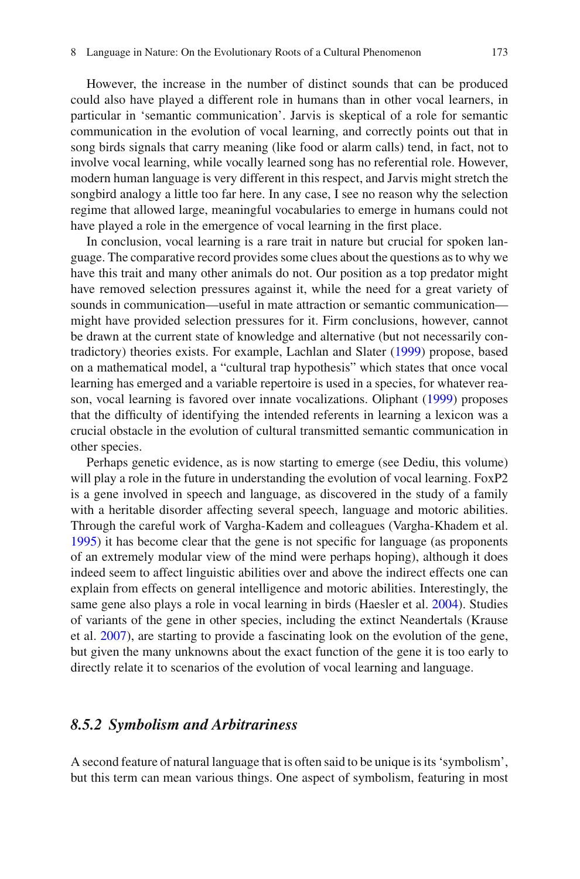However, the increase in the number of distinct sounds that can be produced could also have played a different role in humans than in other vocal learners, in particular in 'semantic communication'. Jarvis is skeptical of a role for semantic communication in the evolution of vocal learning, and correctly points out that in song birds signals that carry meaning (like food or alarm calls) tend, in fact, not to involve vocal learning, while vocally learned song has no referential role. However, modern human language is very different in this respect, and Jarvis might stretch the songbird analogy a little too far here. In any case, I see no reason why the selection regime that allowed large, meaningful vocabularies to emerge in humans could not have played a role in the emergence of vocal learning in the first place.

In conclusion, vocal learning is a rare trait in nature but crucial for spoken language. The comparative record provides some clues about the questions as to why we have this trait and many other animals do not. Our position as a top predator might have removed selection pressures against it, while the need for a great variety of sounds in communication—useful in mate attraction or semantic communication might have provided selection pressures for it. Firm conclusions, however, cannot be drawn at the current state of knowledge and alternative (but not necessarily contradictory) theories exists. For example, Lachlan and Slate[r](#page-25-15) [\(1999](#page-25-15)) propose, based on a mathematical model, a "cultural trap hypothesis" which states that once vocal learning has emerged and a variable repertoire is used in a species, for whatever reason, vocal learning is favored over innate vocalizations. Oliphan[t](#page-25-16) [\(1999](#page-25-16)) proposes that the difficulty of identifying the intended referents in learning a lexicon was a crucial obstacle in the evolution of cultural transmitted semantic communication in other species.

Perhaps genetic evidence, as is now starting to emerge (see Dediu, this volume) will play a role in the future in understanding the evolution of vocal learning. FoxP2 is a gene involved in speech and language, as discovered in the study of a family with a heritable disorder affecting several speech, language and motoric abilities. Through the careful work of Vargha-Kadem and colleagues (Vargha-Khadem et al[.](#page-26-3) [1995](#page-26-3)) it has become clear that the gene is not specific for language (as proponents of an extremely modular view of the mind were perhaps hoping), although it does indeed seem to affect linguistic abilities over and above the indirect effects one can explain from effects on general intelligence and motoric abilities. Interestingly, the same gene also plays a role in vocal learning in birds (Haesler et al[.](#page-25-17) [2004](#page-25-17)). Studies of variants of the gene in other species, including the extinct Neandertals (Krause et al[.](#page-25-18) [2007\)](#page-25-18), are starting to provide a fascinating look on the evolution of the gene, but given the many unknowns about the exact function of the gene it is too early to directly relate it to scenarios of the evolution of vocal learning and language.

#### *8.5.2 Symbolism and Arbitrariness*

A second feature of natural language that is often said to be unique is its 'symbolism', but this term can mean various things. One aspect of symbolism, featuring in most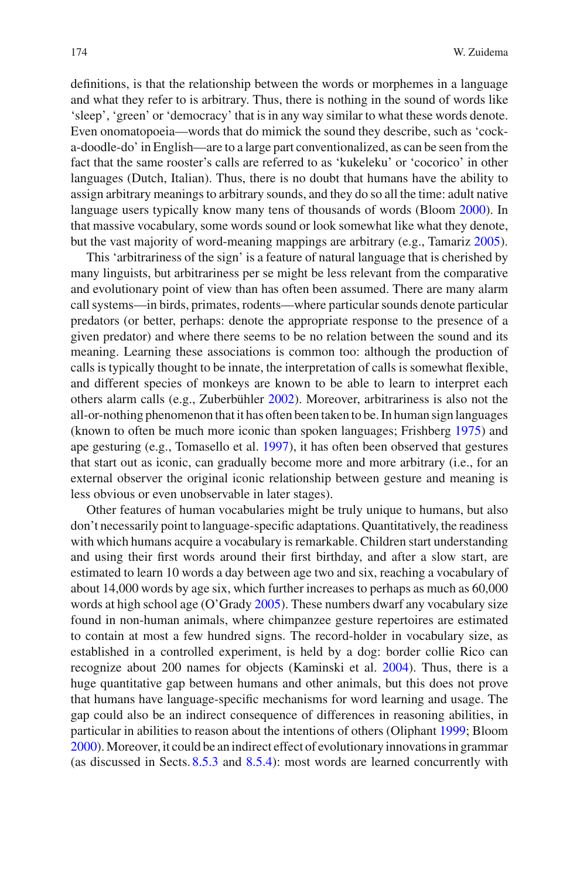definitions, is that the relationship between the words or morphemes in a language and what they refer to is arbitrary. Thus, there is nothing in the sound of words like 'sleep', 'green' or 'democracy' that is in any way similar to what these words denote. Even onomatopoeia—words that do mimick the sound they describe, such as 'cocka-doodle-do' in English—are to a large part conventionalized, as can be seen from the fact that the same rooster's calls are referred to as 'kukeleku' or 'cocorico' in other languages (Dutch, Italian). Thus, there is no doubt that humans have the ability to assign arbitrary meanings to arbitrary sounds, and they do so all the time: adult native language users typically know many tens of thousands of words (Bloo[m](#page-24-10) [2000](#page-24-10)). In that massive vocabulary, some words sound or look somewhat like what they denote, but the vast majority of word-meaning mappings are arbitrary (e.g., Tamari[z](#page-26-4) [2005](#page-26-4)).

This 'arbitrariness of the sign' is a feature of natural language that is cherished by many linguists, but arbitrariness per se might be less relevant from the comparative and evolutionary point of view than has often been assumed. There are many alarm call systems—in birds, primates, rodents—where particular sounds denote particular predators (or better, perhaps: denote the appropriate response to the presence of a given predator) and where there seems to be no relation between the sound and its meaning. Learning these associations is common too: although the production of calls is typically thought to be innate, the interpretation of calls is somewhat flexible, and different species of monkeys are known to be able to learn to interpret each others alarm calls (e.g., Zuberbühle[r](#page-26-5) [2002](#page-26-5)). Moreover, arbitrariness is also not the all-or-nothing phenomenon that it has often been taken to be. In human sign languages (known to often be much more iconic than spoken languages; Frishber[g](#page-24-11) [1975\)](#page-24-11) and ape gesturing (e.g., Tomasello et al[.](#page-26-6) [1997\)](#page-26-6), it has often been observed that gestures that start out as iconic, can gradually become more and more arbitrary (i.e., for an external observer the original iconic relationship between gesture and meaning is less obvious or even unobservable in later stages).

Other features of human vocabularies might be truly unique to humans, but also don't necessarily point to language-specific adaptations. Quantitatively, the readiness with which humans acquire a vocabulary is remarkable. Children start understanding and using their first words around their first birthday, and after a slow start, are estimated to learn 10 words a day between age two and six, reaching a vocabulary of about 14,000 words by age six, which further increases to perhaps as much as 60,000 words at high school age (O'Grad[y](#page-25-19) [2005\)](#page-25-19). These numbers dwarf any vocabulary size found in non-human animals, where chimpanzee gesture repertoires are estimated to contain at most a few hundred signs. The record-holder in vocabulary size, as established in a controlled experiment, is held by a dog: border collie Rico can recognize about 200 names for objects (Kaminski et al[.](#page-25-20) [2004\)](#page-25-20). Thus, there is a huge quantitative gap between humans and other animals, but this does not prove that humans have language-specific mechanisms for word learning and usage. The gap could also be an indirect consequence of differences in reasoning abilities, in particular in abilities to reason about the intentions of others (Oliphan[t](#page-25-16) [1999](#page-25-16); Bloo[m](#page-24-10) [2000](#page-24-10)).Moreover, it could be an indirect effect of evolutionary innovations in grammar (as discussed in Sects. [8.5.3](#page-13-0) and [8.5.4\)](#page-16-0): most words are learned concurrently with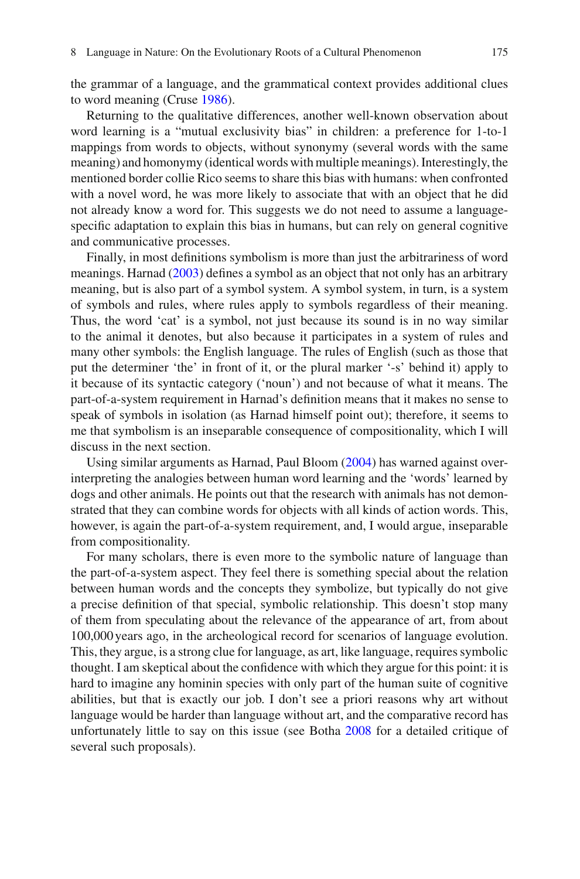the grammar of a language, and the grammatical context provides additional clues to word meaning (Crus[e](#page-24-12) [1986](#page-24-12)).

Returning to the qualitative differences, another well-known observation about word learning is a "mutual exclusivity bias" in children: a preference for 1-to-1 mappings from words to objects, without synonymy (several words with the same meaning) and homonymy (identical words with multiple meanings). Interestingly, the mentioned border collie Rico seems to share this bias with humans: when confronted with a novel word, he was more likely to associate that with an object that he did not already know a word for. This suggests we do not need to assume a languagespecific adaptation to explain this bias in humans, but can rely on general cognitive and communicative processes.

Finally, in most definitions symbolism is more than just the arbitrariness of word meanings. Harna[d](#page-25-21) [\(2003\)](#page-25-21) defines a symbol as an object that not only has an arbitrary meaning, but is also part of a symbol system. A symbol system, in turn, is a system of symbols and rules, where rules apply to symbols regardless of their meaning. Thus, the word 'cat' is a symbol, not just because its sound is in no way similar to the animal it denotes, but also because it participates in a system of rules and many other symbols: the English language. The rules of English (such as those that put the determiner 'the' in front of it, or the plural marker '-s' behind it) apply to it because of its syntactic category ('noun') and not because of what it means. The part-of-a-system requirement in Harnad's definition means that it makes no sense to speak of symbols in isolation (as Harnad himself point out); therefore, it seems to me that symbolism is an inseparable consequence of compositionality, which I will discuss in the next section.

Using similar arguments as Harnad, Paul Bloom [\(2004\)](#page-24-13) has warned against overinterpreting the analogies between human word learning and the 'words' learned by dogs and other animals. He points out that the research with animals has not demonstrated that they can combine words for objects with all kinds of action words. This, however, is again the part-of-a-system requirement, and, I would argue, inseparable from compositionality.

For many scholars, there is even more to the symbolic nature of language than the part-of-a-system aspect. They feel there is something special about the relation between human words and the concepts they symbolize, but typically do not give a precise definition of that special, symbolic relationship. This doesn't stop many of them from speculating about the relevance of the appearance of art, from about 100,000 years ago, in the archeological record for scenarios of language evolution. This, they argue, is a strong clue for language, as art, like language, requires symbolic thought. I am skeptical about the confidence with which they argue for this point: it is hard to imagine any hominin species with only part of the human suite of cognitive abilities, but that is exactly our job. I don't see a priori reasons why art without language would be harder than language without art, and the comparative record has unfortunately little to say on this issue (see Both[a](#page-24-14) [2008](#page-24-14) for a detailed critique of several such proposals).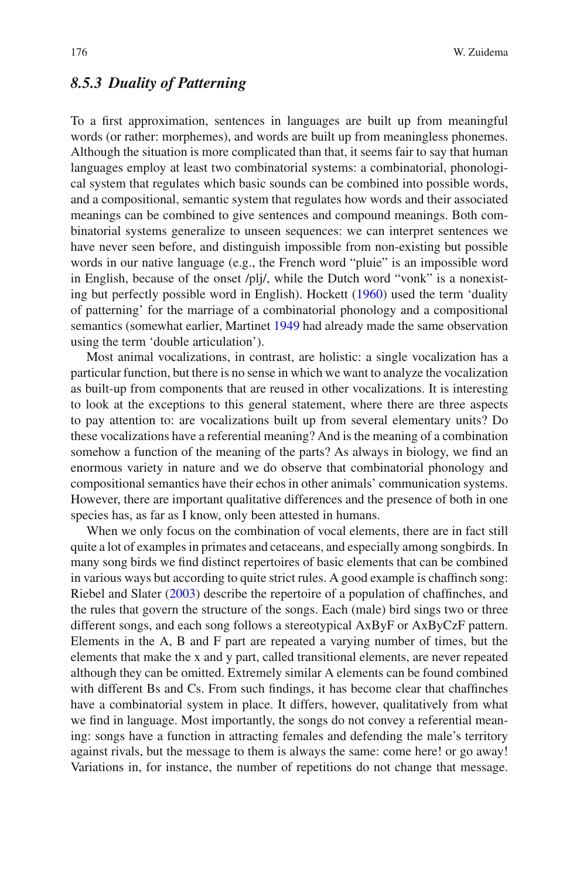## <span id="page-13-0"></span>*8.5.3 Duality of Patterning*

To a first approximation, sentences in languages are built up from meaningful words (or rather: morphemes), and words are built up from meaningless phonemes. Although the situation is more complicated than that, it seems fair to say that human languages employ at least two combinatorial systems: a combinatorial, phonological system that regulates which basic sounds can be combined into possible words, and a compositional, semantic system that regulates how words and their associated meanings can be combined to give sentences and compound meanings. Both combinatorial systems generalize to unseen sequences: we can interpret sentences we have never seen before, and distinguish impossible from non-existing but possible words in our native language (e.g., the French word "pluie" is an impossible word in English, because of the onset /plj/, while the Dutch word "vonk" is a nonexisting but perfectly possible word in English). Hocket[t](#page-25-10) [\(1960](#page-25-10)) used the term 'duality of patterning' for the marriage of a combinatorial phonology and a compositional semantics (somewhat earlier, Martine[t](#page-25-22) [1949](#page-25-22) had already made the same observation using the term 'double articulation').

Most animal vocalizations, in contrast, are holistic: a single vocalization has a particular function, but there is no sense in which we want to analyze the vocalization as built-up from components that are reused in other vocalizations. It is interesting to look at the exceptions to this general statement, where there are three aspects to pay attention to: are vocalizations built up from several elementary units? Do these vocalizations have a referential meaning? And is the meaning of a combination somehow a function of the meaning of the parts? As always in biology, we find an enormous variety in nature and we do observe that combinatorial phonology and compositional semantics have their echos in other animals' communication systems. However, there are important qualitative differences and the presence of both in one species has, as far as I know, only been attested in humans.

When we only focus on the combination of vocal elements, there are in fact still quite a lot of examples in primates and cetaceans, and especially among songbirds. In many song birds we find distinct repertoires of basic elements that can be combined in various ways but according to quite strict rules. A good example is chaffinch song: Riebel and Slater [\(2003](#page-26-7)) describe the repertoire of a population of chaffinches, and the rules that govern the structure of the songs. Each (male) bird sings two or three different songs, and each song follows a stereotypical AxByF or AxByCzF pattern. Elements in the A, B and F part are repeated a varying number of times, but the elements that make the x and y part, called transitional elements, are never repeated although they can be omitted. Extremely similar A elements can be found combined with different Bs and Cs. From such findings, it has become clear that chaffinches have a combinatorial system in place. It differs, however, qualitatively from what we find in language. Most importantly, the songs do not convey a referential meaning: songs have a function in attracting females and defending the male's territory against rivals, but the message to them is always the same: come here! or go away! Variations in, for instance, the number of repetitions do not change that message.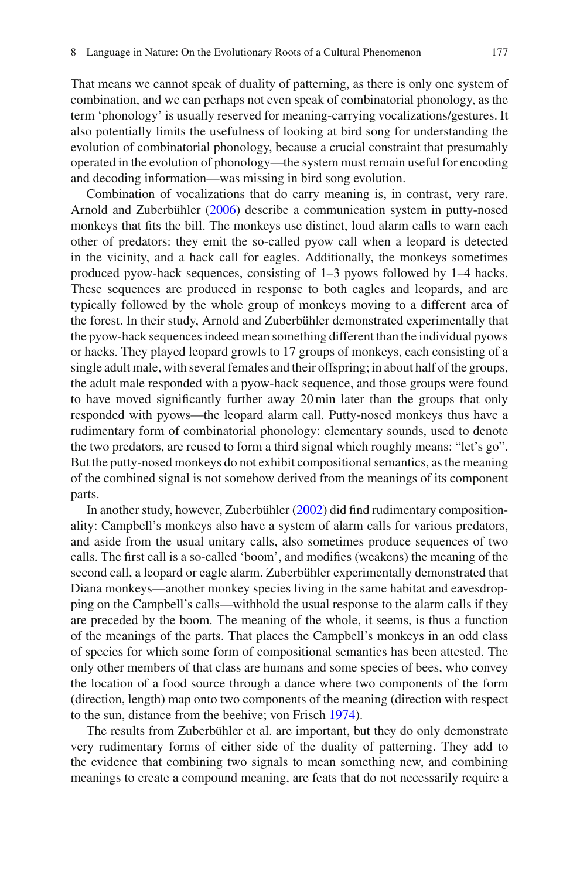That means we cannot speak of duality of patterning, as there is only one system of combination, and we can perhaps not even speak of combinatorial phonology, as the term 'phonology' is usually reserved for meaning-carrying vocalizations/gestures. It also potentially limits the usefulness of looking at bird song for understanding the evolution of combinatorial phonology, because a crucial constraint that presumably operated in the evolution of phonology—the system must remain useful for encoding and decoding information—was missing in bird song evolution.

Combination of vocalizations that do carry meaning is, in contrast, very rare. Arnold and Zuberbühle[r](#page-24-15) [\(2006\)](#page-24-15) describe a communication system in putty-nosed monkeys that fits the bill. The monkeys use distinct, loud alarm calls to warn each other of predators: they emit the so-called pyow call when a leopard is detected in the vicinity, and a hack call for eagles. Additionally, the monkeys sometimes produced pyow-hack sequences, consisting of 1–3 pyows followed by 1–4 hacks. These sequences are produced in response to both eagles and leopards, and are typically followed by the whole group of monkeys moving to a different area of the forest. In their study, Arnold and Zuberbühler demonstrated experimentally that the pyow-hack sequences indeed mean something different than the individual pyows or hacks. They played leopard growls to 17 groups of monkeys, each consisting of a single adult male, with several females and their offspring; in about half of the groups, the adult male responded with a pyow-hack sequence, and those groups were found to have moved significantly further away 20 min later than the groups that only responded with pyows—the leopard alarm call. Putty-nosed monkeys thus have a rudimentary form of combinatorial phonology: elementary sounds, used to denote the two predators, are reused to form a third signal which roughly means: "let's go". But the putty-nosed monkeys do not exhibit compositional semantics, as the meaning of the combined signal is not somehow derived from the meanings of its component parts.

In another study, however, Zuberbühle[r](#page-26-5) [\(2002\)](#page-26-5) did find rudimentary compositionality: Campbell's monkeys also have a system of alarm calls for various predators, and aside from the usual unitary calls, also sometimes produce sequences of two calls. The first call is a so-called 'boom', and modifies (weakens) the meaning of the second call, a leopard or eagle alarm. Zuberbühler experimentally demonstrated that Diana monkeys—another monkey species living in the same habitat and eavesdropping on the Campbell's calls—withhold the usual response to the alarm calls if they are preceded by the boom. The meaning of the whole, it seems, is thus a function of the meanings of the parts. That places the Campbell's monkeys in an odd class of species for which some form of compositional semantics has been attested. The only other members of that class are humans and some species of bees, who convey the location of a food source through a dance where two components of the form (direction, length) map onto two components of the meaning (direction with respect to the sun, distance from the beehive; von Frisc[h](#page-26-8) [1974](#page-26-8)).

The results from Zuberbühler et al. are important, but they do only demonstrate very rudimentary forms of either side of the duality of patterning. They add to the evidence that combining two signals to mean something new, and combining meanings to create a compound meaning, are feats that do not necessarily require a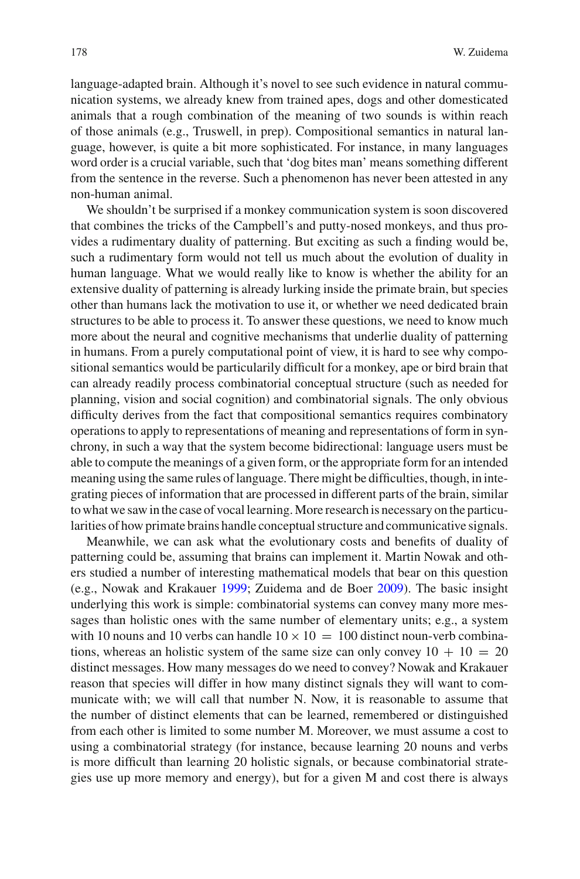language-adapted brain. Although it's novel to see such evidence in natural communication systems, we already knew from trained apes, dogs and other domesticated animals that a rough combination of the meaning of two sounds is within reach of those animals (e.g., Truswell, in prep). Compositional semantics in natural language, however, is quite a bit more sophisticated. For instance, in many languages word order is a crucial variable, such that 'dog bites man' means something different from the sentence in the reverse. Such a phenomenon has never been attested in any non-human animal.

We shouldn't be surprised if a monkey communication system is soon discovered that combines the tricks of the Campbell's and putty-nosed monkeys, and thus provides a rudimentary duality of patterning. But exciting as such a finding would be, such a rudimentary form would not tell us much about the evolution of duality in human language. What we would really like to know is whether the ability for an extensive duality of patterning is already lurking inside the primate brain, but species other than humans lack the motivation to use it, or whether we need dedicated brain structures to be able to process it. To answer these questions, we need to know much more about the neural and cognitive mechanisms that underlie duality of patterning in humans. From a purely computational point of view, it is hard to see why compositional semantics would be particularily difficult for a monkey, ape or bird brain that can already readily process combinatorial conceptual structure (such as needed for planning, vision and social cognition) and combinatorial signals. The only obvious difficulty derives from the fact that compositional semantics requires combinatory operations to apply to representations of meaning and representations of form in synchrony, in such a way that the system become bidirectional: language users must be able to compute the meanings of a given form, or the appropriate form for an intended meaning using the same rules of language. There might be difficulties, though, in integrating pieces of information that are processed in different parts of the brain, similar to what we saw in the case of vocal learning.More research is necessary on the particularities of how primate brains handle conceptual structure and communicative signals.

Meanwhile, we can ask what the evolutionary costs and benefits of duality of patterning could be, assuming that brains can implement it. Martin Nowak and others studied a number of interesting mathematical models that bear on this question (e.g., Nowak and Krakaue[r](#page-25-23) [1999](#page-25-23); Zuidema and de Boe[r](#page-26-9) [2009\)](#page-26-9). The basic insight underlying this work is simple: combinatorial systems can convey many more messages than holistic ones with the same number of elementary units; e.g., a system with 10 nouns and 10 verbs can handle  $10 \times 10 = 100$  distinct noun-verb combinations, whereas an holistic system of the same size can only convey  $10 + 10 = 20$ distinct messages. How many messages do we need to convey? Nowak and Krakauer reason that species will differ in how many distinct signals they will want to communicate with; we will call that number N. Now, it is reasonable to assume that the number of distinct elements that can be learned, remembered or distinguished from each other is limited to some number M. Moreover, we must assume a cost to using a combinatorial strategy (for instance, because learning 20 nouns and verbs is more difficult than learning 20 holistic signals, or because combinatorial strategies use up more memory and energy), but for a given M and cost there is always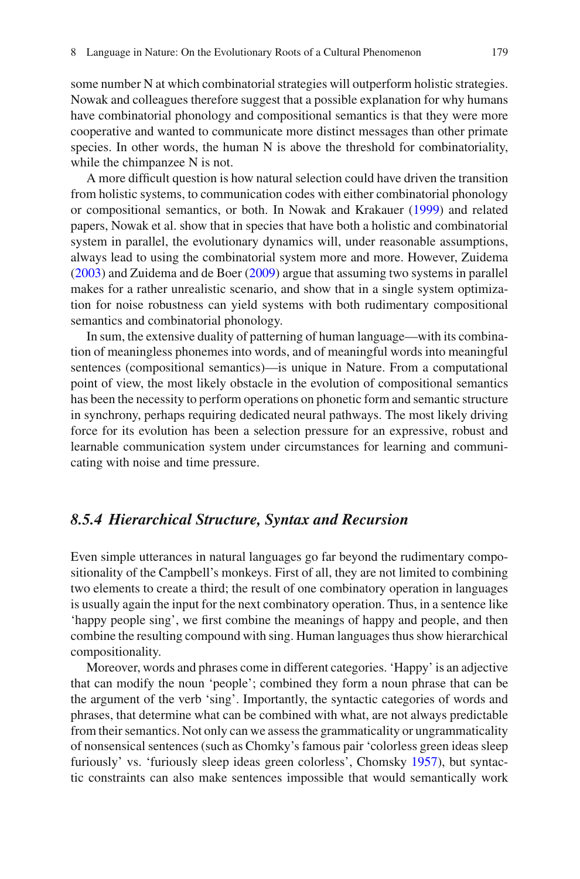some number N at which combinatorial strategies will outperform holistic strategies. Nowak and colleagues therefore suggest that a possible explanation for why humans have combinatorial phonology and compositional semantics is that they were more cooperative and wanted to communicate more distinct messages than other primate species. In other words, the human N is above the threshold for combinatoriality, while the chimpanzee N is not.

A more difficult question is how natural selection could have driven the transition from holistic systems, to communication codes with either combinatorial phonology or compositional semantics, or both. In Nowak and Krakaue[r](#page-25-23) [\(1999](#page-25-23)) and related papers, Nowak et al. show that in species that have both a holistic and combinatorial system in parallel, the evolutionary dynamics will, under reasonable assumptions, always lead to using the combinatorial system more and more. However, Zuidem[a](#page-26-10) [\(2003\)](#page-26-10) and Zuidema and de Boe[r](#page-26-9) [\(2009\)](#page-26-9) argue that assuming two systems in parallel makes for a rather unrealistic scenario, and show that in a single system optimization for noise robustness can yield systems with both rudimentary compositional semantics and combinatorial phonology.

In sum, the extensive duality of patterning of human language—with its combination of meaningless phonemes into words, and of meaningful words into meaningful sentences (compositional semantics)—is unique in Nature. From a computational point of view, the most likely obstacle in the evolution of compositional semantics has been the necessity to perform operations on phonetic form and semantic structure in synchrony, perhaps requiring dedicated neural pathways. The most likely driving force for its evolution has been a selection pressure for an expressive, robust and learnable communication system under circumstances for learning and communicating with noise and time pressure.

## <span id="page-16-0"></span>*8.5.4 Hierarchical Structure, Syntax and Recursion*

Even simple utterances in natural languages go far beyond the rudimentary compositionality of the Campbell's monkeys. First of all, they are not limited to combining two elements to create a third; the result of one combinatory operation in languages is usually again the input for the next combinatory operation. Thus, in a sentence like 'happy people sing', we first combine the meanings of happy and people, and then combine the resulting compound with sing. Human languages thus show hierarchical compositionality.

Moreover, words and phrases come in different categories. 'Happy' is an adjective that can modify the noun 'people'; combined they form a noun phrase that can be the argument of the verb 'sing'. Importantly, the syntactic categories of words and phrases, that determine what can be combined with what, are not always predictable from their semantics. Not only can we assess the grammaticality or ungrammaticality of nonsensical sentences (such as Chomky's famous pair 'colorless green ideas sleep furiously' vs. 'furiously sleep ideas green colorless', Chomsk[y](#page-24-16) [1957\)](#page-24-16), but syntactic constraints can also make sentences impossible that would semantically work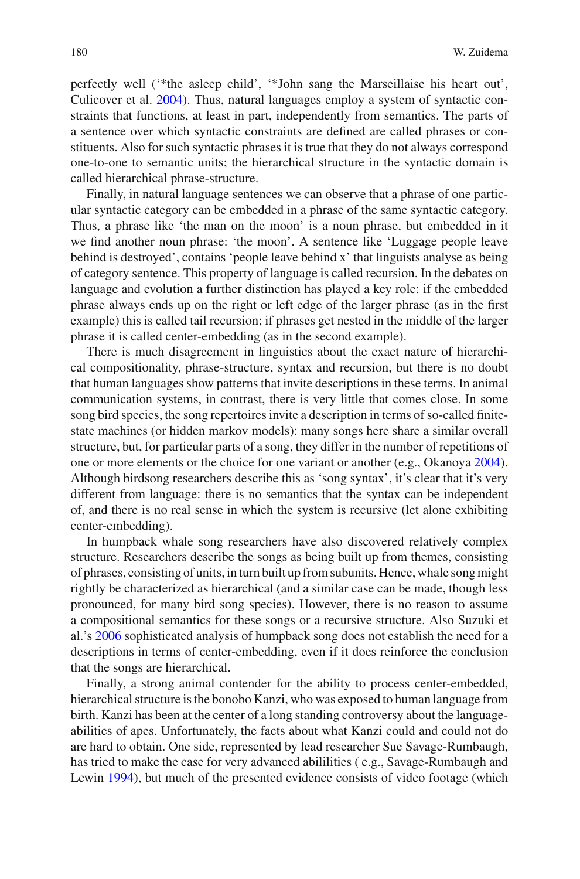perfectly well ('\*the asleep child', '\*John sang the Marseillaise his heart out', Culicover et al[.](#page-24-17) [2004\)](#page-24-17). Thus, natural languages employ a system of syntactic constraints that functions, at least in part, independently from semantics. The parts of a sentence over which syntactic constraints are defined are called phrases or constituents. Also for such syntactic phrases it is true that they do not always correspond one-to-one to semantic units; the hierarchical structure in the syntactic domain is called hierarchical phrase-structure.

Finally, in natural language sentences we can observe that a phrase of one particular syntactic category can be embedded in a phrase of the same syntactic category. Thus, a phrase like 'the man on the moon' is a noun phrase, but embedded in it we find another noun phrase: 'the moon'. A sentence like 'Luggage people leave behind is destroyed', contains 'people leave behind x' that linguists analyse as being of category sentence. This property of language is called recursion. In the debates on language and evolution a further distinction has played a key role: if the embedded phrase always ends up on the right or left edge of the larger phrase (as in the first example) this is called tail recursion; if phrases get nested in the middle of the larger phrase it is called center-embedding (as in the second example).

There is much disagreement in linguistics about the exact nature of hierarchical compositionality, phrase-structure, syntax and recursion, but there is no doubt that human languages show patterns that invite descriptions in these terms. In animal communication systems, in contrast, there is very little that comes close. In some song bird species, the song repertoires invite a description in terms of so-called finitestate machines (or hidden markov models): many songs here share a similar overall structure, but, for particular parts of a song, they differ in the number of repetitions of one or more elements or the choice for one variant or another (e.g., Okanoy[a](#page-25-24) [2004](#page-25-24)). Although birdsong researchers describe this as 'song syntax', it's clear that it's very different from language: there is no semantics that the syntax can be independent of, and there is no real sense in which the system is recursive (let alone exhibiting center-embedding).

In humpback whale song researchers have also discovered relatively complex structure. Researchers describe the songs as being built up from themes, consisting of phrases, consisting of units, in turn built up from subunits. Hence, whale song might rightly be characterized as hierarchical (and a similar case can be made, though less pronounced, for many bird song species). However, there is no reason to assume a compositional semantics for these songs or a recursive structure. Also Suzuki et al.'[s](#page-26-11) [2006](#page-26-11) sophisticated analysis of humpback song does not establish the need for a descriptions in terms of center-embedding, even if it does reinforce the conclusion that the songs are hierarchical.

Finally, a strong animal contender for the ability to process center-embedded, hierarchical structure is the bonobo Kanzi, who was exposed to human language from birth. Kanzi has been at the center of a long standing controversy about the languageabilities of apes. Unfortunately, the facts about what Kanzi could and could not do are hard to obtain. One side, represented by lead researcher Sue Savage-Rumbaugh, has tried to make the case for very advanced abililities ( e.g., Savage-Rumbaugh and Lewi[n](#page-26-12) [1994](#page-26-12)), but much of the presented evidence consists of video footage (which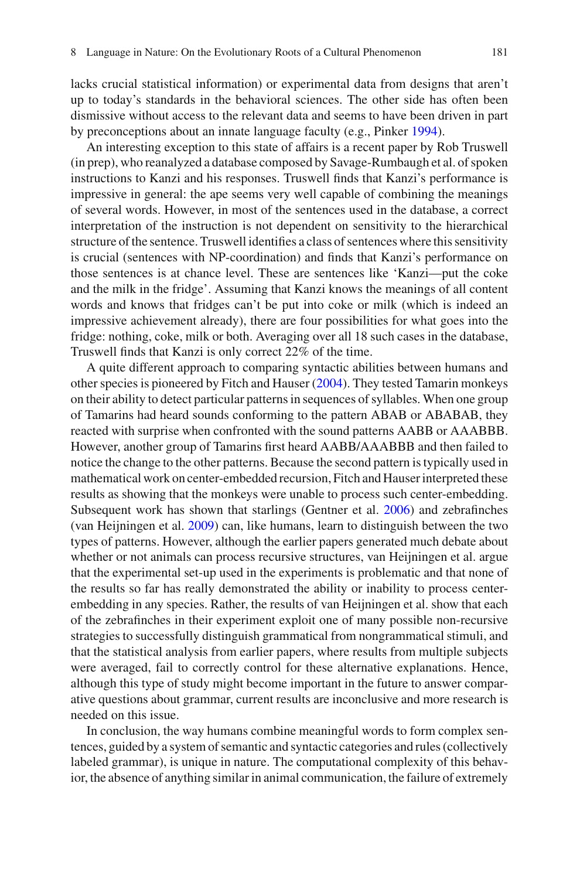lacks crucial statistical information) or experimental data from designs that aren't up to today's standards in the behavioral sciences. The other side has often been dismissive without access to the relevant data and seems to have been driven in part by preconceptions about an innate language faculty (e.g., Pinke[r](#page-25-25) [1994\)](#page-25-25).

An interesting exception to this state of affairs is a recent paper by Rob Truswell (in prep), who reanalyzed a database composed by Savage-Rumbaugh et al. of spoken instructions to Kanzi and his responses. Truswell finds that Kanzi's performance is impressive in general: the ape seems very well capable of combining the meanings of several words. However, in most of the sentences used in the database, a correct interpretation of the instruction is not dependent on sensitivity to the hierarchical structure of the sentence. Truswell identifies a class of sentences where this sensitivity is crucial (sentences with NP-coordination) and finds that Kanzi's performance on those sentences is at chance level. These are sentences like 'Kanzi—put the coke and the milk in the fridge'. Assuming that Kanzi knows the meanings of all content words and knows that fridges can't be put into coke or milk (which is indeed an impressive achievement already), there are four possibilities for what goes into the fridge: nothing, coke, milk or both. Averaging over all 18 such cases in the database, Truswell finds that Kanzi is only correct 22% of the time.

A quite different approach to comparing syntactic abilities between humans and other species is pioneered by Fitch and Hause[r](#page-24-18) [\(2004\)](#page-24-18). They tested Tamarin monkeys on their ability to detect particular patterns in sequences of syllables. When one group of Tamarins had heard sounds conforming to the pattern ABAB or ABABAB, they reacted with surprise when confronted with the sound patterns AABB or AAABBB. However, another group of Tamarins first heard AABB/AAABBB and then failed to notice the change to the other patterns. Because the second pattern is typically used in mathematical work on center-embedded recursion, Fitch and Hauser interpreted these results as showing that the monkeys were unable to process such center-embedding. Subsequent work has shown that starlings (Gentner et al[.](#page-24-19) [2006\)](#page-24-19) and zebrafinches (van Heijningen et al[.](#page-26-13) [2009](#page-26-13)) can, like humans, learn to distinguish between the two types of patterns. However, although the earlier papers generated much debate about whether or not animals can process recursive structures, van Heijningen et al. argue that the experimental set-up used in the experiments is problematic and that none of the results so far has really demonstrated the ability or inability to process centerembedding in any species. Rather, the results of van Heijningen et al. show that each of the zebrafinches in their experiment exploit one of many possible non-recursive strategies to successfully distinguish grammatical from nongrammatical stimuli, and that the statistical analysis from earlier papers, where results from multiple subjects were averaged, fail to correctly control for these alternative explanations. Hence, although this type of study might become important in the future to answer comparative questions about grammar, current results are inconclusive and more research is needed on this issue.

In conclusion, the way humans combine meaningful words to form complex sentences, guided by a system of semantic and syntactic categories and rules (collectively labeled grammar), is unique in nature. The computational complexity of this behavior, the absence of anything similar in animal communication, the failure of extremely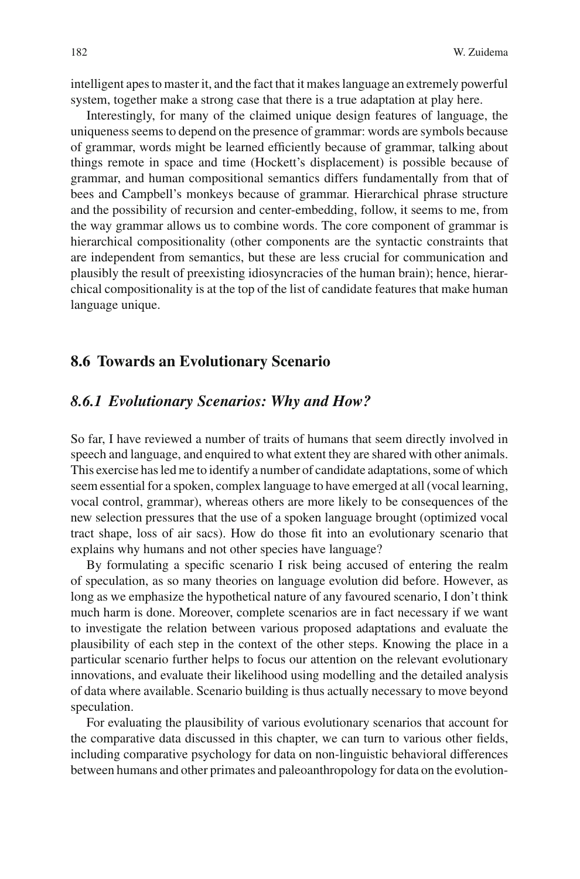intelligent apes to master it, and the fact that it makes language an extremely powerful system, together make a strong case that there is a true adaptation at play here.

Interestingly, for many of the claimed unique design features of language, the uniqueness seems to depend on the presence of grammar: words are symbols because of grammar, words might be learned efficiently because of grammar, talking about things remote in space and time (Hockett's displacement) is possible because of grammar, and human compositional semantics differs fundamentally from that of bees and Campbell's monkeys because of grammar. Hierarchical phrase structure and the possibility of recursion and center-embedding, follow, it seems to me, from the way grammar allows us to combine words. The core component of grammar is hierarchical compositionality (other components are the syntactic constraints that are independent from semantics, but these are less crucial for communication and plausibly the result of preexisting idiosyncracies of the human brain); hence, hierarchical compositionality is at the top of the list of candidate features that make human language unique.

## **8.6 Towards an Evolutionary Scenario**

#### *8.6.1 Evolutionary Scenarios: Why and How?*

So far, I have reviewed a number of traits of humans that seem directly involved in speech and language, and enquired to what extent they are shared with other animals. This exercise has led me to identify a number of candidate adaptations, some of which seem essential for a spoken, complex language to have emerged at all (vocal learning, vocal control, grammar), whereas others are more likely to be consequences of the new selection pressures that the use of a spoken language brought (optimized vocal tract shape, loss of air sacs). How do those fit into an evolutionary scenario that explains why humans and not other species have language?

By formulating a specific scenario I risk being accused of entering the realm of speculation, as so many theories on language evolution did before. However, as long as we emphasize the hypothetical nature of any favoured scenario, I don't think much harm is done. Moreover, complete scenarios are in fact necessary if we want to investigate the relation between various proposed adaptations and evaluate the plausibility of each step in the context of the other steps. Knowing the place in a particular scenario further helps to focus our attention on the relevant evolutionary innovations, and evaluate their likelihood using modelling and the detailed analysis of data where available. Scenario building is thus actually necessary to move beyond speculation.

For evaluating the plausibility of various evolutionary scenarios that account for the comparative data discussed in this chapter, we can turn to various other fields, including comparative psychology for data on non-linguistic behavioral differences between humans and other primates and paleoanthropology for data on the evolution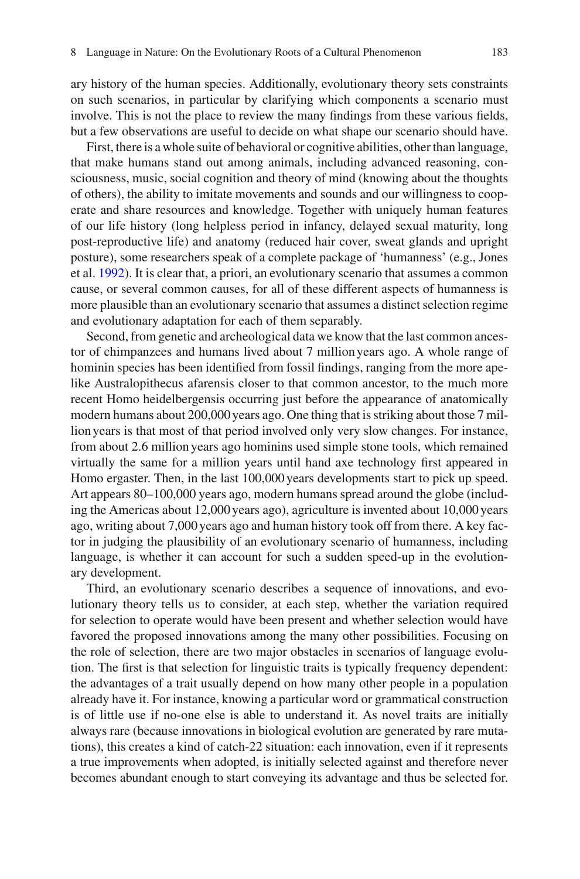ary history of the human species. Additionally, evolutionary theory sets constraints on such scenarios, in particular by clarifying which components a scenario must involve. This is not the place to review the many findings from these various fields, but a few observations are useful to decide on what shape our scenario should have.

First, there is a whole suite of behavioral or cognitive abilities, other than language, that make humans stand out among animals, including advanced reasoning, consciousness, music, social cognition and theory of mind (knowing about the thoughts of others), the ability to imitate movements and sounds and our willingness to cooperate and share resources and knowledge. Together with uniquely human features of our life history (long helpless period in infancy, delayed sexual maturity, long post-reproductive life) and anatomy (reduced hair cover, sweat glands and upright posture), some researchers speak of a complete package of 'humanness' (e.g., Jones et al[.](#page-25-6) [1992](#page-25-6)). It is clear that, a priori, an evolutionary scenario that assumes a common cause, or several common causes, for all of these different aspects of humanness is more plausible than an evolutionary scenario that assumes a distinct selection regime and evolutionary adaptation for each of them separably.

Second, from genetic and archeological data we know that the last common ancestor of chimpanzees and humans lived about 7 million years ago. A whole range of hominin species has been identified from fossil findings, ranging from the more apelike Australopithecus afarensis closer to that common ancestor, to the much more recent Homo heidelbergensis occurring just before the appearance of anatomically modern humans about 200,000 years ago. One thing that is striking about those 7 million years is that most of that period involved only very slow changes. For instance, from about 2.6 million years ago hominins used simple stone tools, which remained virtually the same for a million years until hand axe technology first appeared in Homo ergaster. Then, in the last 100,000 years developments start to pick up speed. Art appears 80–100,000 years ago, modern humans spread around the globe (including the Americas about 12,000 years ago), agriculture is invented about 10,000 years ago, writing about 7,000 years ago and human history took off from there. A key factor in judging the plausibility of an evolutionary scenario of humanness, including language, is whether it can account for such a sudden speed-up in the evolutionary development.

Third, an evolutionary scenario describes a sequence of innovations, and evolutionary theory tells us to consider, at each step, whether the variation required for selection to operate would have been present and whether selection would have favored the proposed innovations among the many other possibilities. Focusing on the role of selection, there are two major obstacles in scenarios of language evolution. The first is that selection for linguistic traits is typically frequency dependent: the advantages of a trait usually depend on how many other people in a population already have it. For instance, knowing a particular word or grammatical construction is of little use if no-one else is able to understand it. As novel traits are initially always rare (because innovations in biological evolution are generated by rare mutations), this creates a kind of catch-22 situation: each innovation, even if it represents a true improvements when adopted, is initially selected against and therefore never becomes abundant enough to start conveying its advantage and thus be selected for.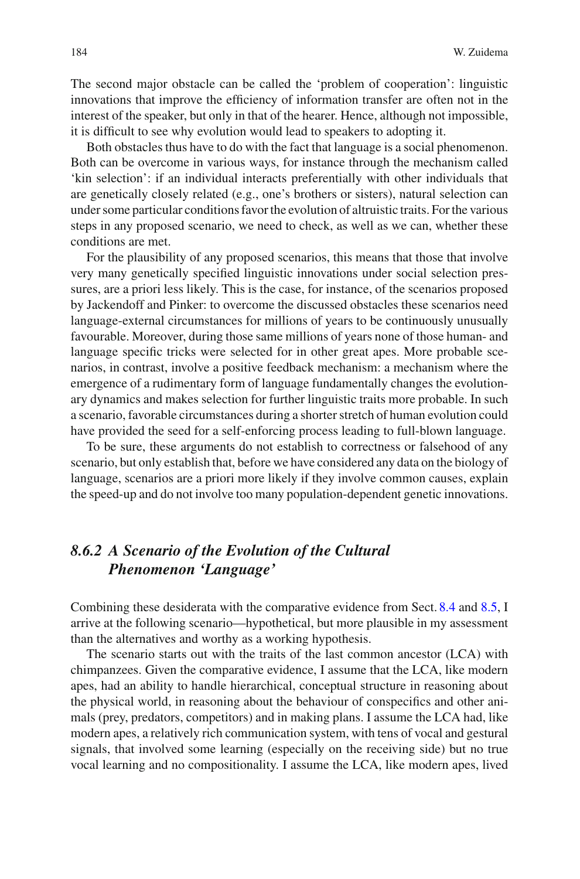The second major obstacle can be called the 'problem of cooperation': linguistic innovations that improve the efficiency of information transfer are often not in the interest of the speaker, but only in that of the hearer. Hence, although not impossible, it is difficult to see why evolution would lead to speakers to adopting it.

Both obstacles thus have to do with the fact that language is a social phenomenon. Both can be overcome in various ways, for instance through the mechanism called 'kin selection': if an individual interacts preferentially with other individuals that are genetically closely related (e.g., one's brothers or sisters), natural selection can under some particular conditions favor the evolution of altruistic traits. For the various steps in any proposed scenario, we need to check, as well as we can, whether these conditions are met.

For the plausibility of any proposed scenarios, this means that those that involve very many genetically specified linguistic innovations under social selection pressures, are a priori less likely. This is the case, for instance, of the scenarios proposed by Jackendoff and Pinker: to overcome the discussed obstacles these scenarios need language-external circumstances for millions of years to be continuously unusually favourable. Moreover, during those same millions of years none of those human- and language specific tricks were selected for in other great apes. More probable scenarios, in contrast, involve a positive feedback mechanism: a mechanism where the emergence of a rudimentary form of language fundamentally changes the evolutionary dynamics and makes selection for further linguistic traits more probable. In such a scenario, favorable circumstances during a shorter stretch of human evolution could have provided the seed for a self-enforcing process leading to full-blown language.

To be sure, these arguments do not establish to correctness or falsehood of any scenario, but only establish that, before we have considered any data on the biology of language, scenarios are a priori more likely if they involve common causes, explain the speed-up and do not involve too many population-dependent genetic innovations.

## *8.6.2 A Scenario of the Evolution of the Cultural Phenomenon 'Language'*

Combining these desiderata with the comparative evidence from Sect. [8.4](#page-4-0) and [8.5,](#page-8-0) I arrive at the following scenario—hypothetical, but more plausible in my assessment than the alternatives and worthy as a working hypothesis.

The scenario starts out with the traits of the last common ancestor (LCA) with chimpanzees. Given the comparative evidence, I assume that the LCA, like modern apes, had an ability to handle hierarchical, conceptual structure in reasoning about the physical world, in reasoning about the behaviour of conspecifics and other animals (prey, predators, competitors) and in making plans. I assume the LCA had, like modern apes, a relatively rich communication system, with tens of vocal and gestural signals, that involved some learning (especially on the receiving side) but no true vocal learning and no compositionality. I assume the LCA, like modern apes, lived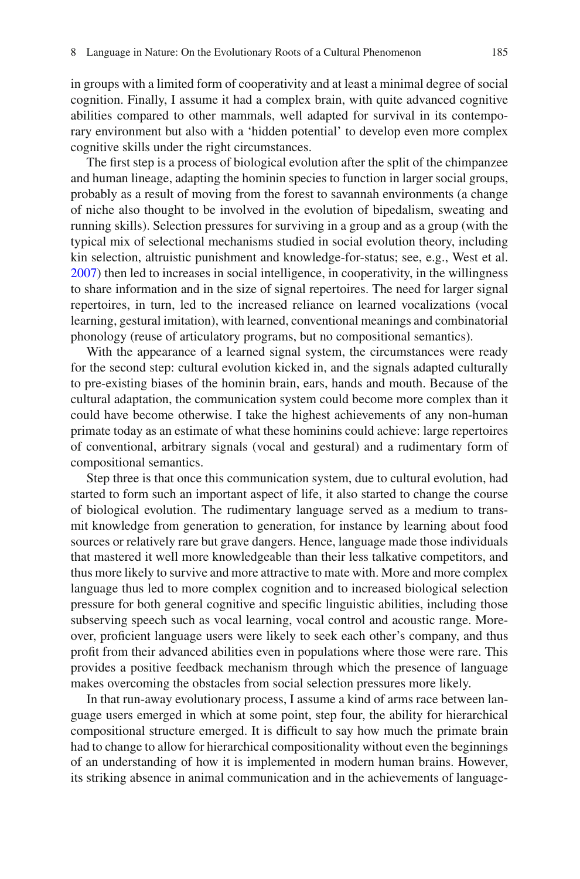in groups with a limited form of cooperativity and at least a minimal degree of social cognition. Finally, I assume it had a complex brain, with quite advanced cognitive abilities compared to other mammals, well adapted for survival in its contemporary environment but also with a 'hidden potential' to develop even more complex cognitive skills under the right circumstances.

The first step is a process of biological evolution after the split of the chimpanzee and human lineage, adapting the hominin species to function in larger social groups, probably as a result of moving from the forest to savannah environments (a change of niche also thought to be involved in the evolution of bipedalism, sweating and running skills). Selection pressures for surviving in a group and as a group (with the typical mix of selectional mechanisms studied in social evolution theory, including kin selection, altruistic punishment and knowledge-for-status; see, e.g., West et al[.](#page-26-14) [2007](#page-26-14)) then led to increases in social intelligence, in cooperativity, in the willingness to share information and in the size of signal repertoires. The need for larger signal repertoires, in turn, led to the increased reliance on learned vocalizations (vocal learning, gestural imitation), with learned, conventional meanings and combinatorial phonology (reuse of articulatory programs, but no compositional semantics).

With the appearance of a learned signal system, the circumstances were ready for the second step: cultural evolution kicked in, and the signals adapted culturally to pre-existing biases of the hominin brain, ears, hands and mouth. Because of the cultural adaptation, the communication system could become more complex than it could have become otherwise. I take the highest achievements of any non-human primate today as an estimate of what these hominins could achieve: large repertoires of conventional, arbitrary signals (vocal and gestural) and a rudimentary form of compositional semantics.

Step three is that once this communication system, due to cultural evolution, had started to form such an important aspect of life, it also started to change the course of biological evolution. The rudimentary language served as a medium to transmit knowledge from generation to generation, for instance by learning about food sources or relatively rare but grave dangers. Hence, language made those individuals that mastered it well more knowledgeable than their less talkative competitors, and thus more likely to survive and more attractive to mate with. More and more complex language thus led to more complex cognition and to increased biological selection pressure for both general cognitive and specific linguistic abilities, including those subserving speech such as vocal learning, vocal control and acoustic range. Moreover, proficient language users were likely to seek each other's company, and thus profit from their advanced abilities even in populations where those were rare. This provides a positive feedback mechanism through which the presence of language makes overcoming the obstacles from social selection pressures more likely.

In that run-away evolutionary process, I assume a kind of arms race between language users emerged in which at some point, step four, the ability for hierarchical compositional structure emerged. It is difficult to say how much the primate brain had to change to allow for hierarchical compositionality without even the beginnings of an understanding of how it is implemented in modern human brains. However, its striking absence in animal communication and in the achievements of language-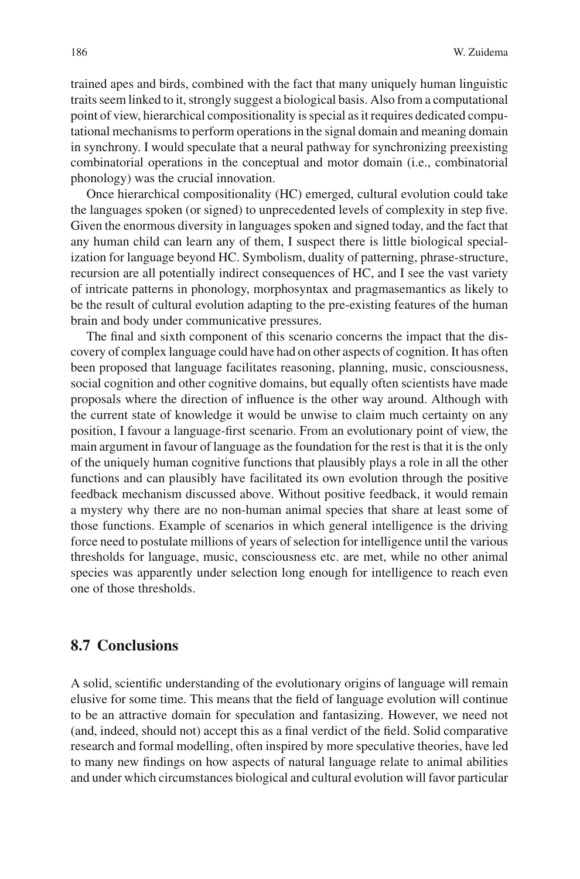trained apes and birds, combined with the fact that many uniquely human linguistic traits seem linked to it, strongly suggest a biological basis. Also from a computational point of view, hierarchical compositionality is special as it requires dedicated computational mechanisms to perform operations in the signal domain and meaning domain in synchrony. I would speculate that a neural pathway for synchronizing preexisting combinatorial operations in the conceptual and motor domain (i.e., combinatorial phonology) was the crucial innovation.

Once hierarchical compositionality (HC) emerged, cultural evolution could take the languages spoken (or signed) to unprecedented levels of complexity in step five. Given the enormous diversity in languages spoken and signed today, and the fact that any human child can learn any of them, I suspect there is little biological specialization for language beyond HC. Symbolism, duality of patterning, phrase-structure, recursion are all potentially indirect consequences of HC, and I see the vast variety of intricate patterns in phonology, morphosyntax and pragmasemantics as likely to be the result of cultural evolution adapting to the pre-existing features of the human brain and body under communicative pressures.

The final and sixth component of this scenario concerns the impact that the discovery of complex language could have had on other aspects of cognition. It has often been proposed that language facilitates reasoning, planning, music, consciousness, social cognition and other cognitive domains, but equally often scientists have made proposals where the direction of influence is the other way around. Although with the current state of knowledge it would be unwise to claim much certainty on any position, I favour a language-first scenario. From an evolutionary point of view, the main argument in favour of language as the foundation for the rest is that it is the only of the uniquely human cognitive functions that plausibly plays a role in all the other functions and can plausibly have facilitated its own evolution through the positive feedback mechanism discussed above. Without positive feedback, it would remain a mystery why there are no non-human animal species that share at least some of those functions. Example of scenarios in which general intelligence is the driving force need to postulate millions of years of selection for intelligence until the various thresholds for language, music, consciousness etc. are met, while no other animal species was apparently under selection long enough for intelligence to reach even one of those thresholds.

## **8.7 Conclusions**

A solid, scientific understanding of the evolutionary origins of language will remain elusive for some time. This means that the field of language evolution will continue to be an attractive domain for speculation and fantasizing. However, we need not (and, indeed, should not) accept this as a final verdict of the field. Solid comparative research and formal modelling, often inspired by more speculative theories, have led to many new findings on how aspects of natural language relate to animal abilities and under which circumstances biological and cultural evolution will favor particular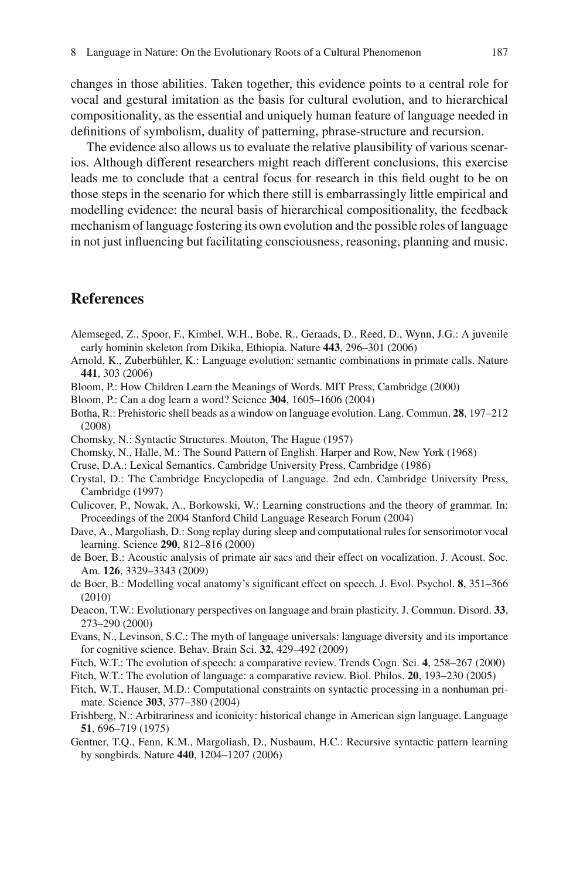changes in those abilities. Taken together, this evidence points to a central role for vocal and gestural imitation as the basis for cultural evolution, and to hierarchical compositionality, as the essential and uniquely human feature of language needed in definitions of symbolism, duality of patterning, phrase-structure and recursion.

The evidence also allows us to evaluate the relative plausibility of various scenarios. Although different researchers might reach different conclusions, this exercise leads me to conclude that a central focus for research in this field ought to be on those steps in the scenario for which there still is embarrassingly little empirical and modelling evidence: the neural basis of hierarchical compositionality, the feedback mechanism of language fostering its own evolution and the possible roles of language in not just influencing but facilitating consciousness, reasoning, planning and music.

## **References**

- <span id="page-24-7"></span>Alemseged, Z., Spoor, F., Kimbel, W.H., Bobe, R., Geraads, D., Reed, D., Wynn, J.G.: A juvenile early hominin skeleton from Dikika, Ethiopia. Nature **443**, 296–301 (2006)
- <span id="page-24-15"></span>Arnold, K., Zuberbühler, K.: Language evolution: semantic combinations in primate calls. Nature **441**, 303 (2006)
- <span id="page-24-10"></span>Bloom, P.: How Children Learn the Meanings of Words. MIT Press, Cambridge (2000)
- <span id="page-24-13"></span>Bloom, P.: Can a dog learn a word? Science **304**, 1605–1606 (2004)
- <span id="page-24-14"></span>Botha, R.: Prehistoric shell beads as a window on language evolution. Lang. Commun. **28**, 197–212 (2008)
- <span id="page-24-16"></span>Chomsky, N.: Syntactic Structures. Mouton, The Hague (1957)
- <span id="page-24-1"></span>Chomsky, N., Halle, M.: The Sound Pattern of English. Harper and Row, New York (1968)
- <span id="page-24-12"></span>Cruse, D.A.: Lexical Semantics. Cambridge University Press, Cambridge (1986)
- <span id="page-24-3"></span>Crystal, D.: The Cambridge Encyclopedia of Language. 2nd edn. Cambridge University Press, Cambridge (1997)
- <span id="page-24-17"></span>Culicover, P., Nowak, A., Borkowski, W.: Learning constructions and the theory of grammar. In: Proceedings of the 2004 Stanford Child Language Research Forum (2004)
- <span id="page-24-9"></span>Dave, A., Margoliash, D.: Song replay during sleep and computational rules for sensorimotor vocal learning. Science **290**, 812–816 (2000)
- <span id="page-24-6"></span>de Boer, B.: Acoustic analysis of primate air sacs and their effect on vocalization. J. Acoust. Soc. Am. **126**, 3329–3343 (2009)
- <span id="page-24-4"></span>de Boer, B.: Modelling vocal anatomy's significant effect on speech. J. Evol. Psychol. **8**, 351–366 (2010)
- <span id="page-24-8"></span>Deacon, T.W.: Evolutionary perspectives on language and brain plasticity. J. Commun. Disord. **33**, 273–290 (2000)
- <span id="page-24-2"></span>Evans, N., Levinson, S.C.: The myth of language universals: language diversity and its importance for cognitive science. Behav. Brain Sci. **32**, 429–492 (2009)
- <span id="page-24-5"></span>Fitch, W.T.: The evolution of speech: a comparative review. Trends Cogn. Sci. **4**, 258–267 (2000)
- <span id="page-24-0"></span>Fitch, W.T.: The evolution of language: a comparative review. Biol. Philos. **20**, 193–230 (2005)
- <span id="page-24-18"></span>Fitch, W.T., Hauser, M.D.: Computational constraints on syntactic processing in a nonhuman primate. Science **303**, 377–380 (2004)
- <span id="page-24-11"></span>Frishberg, N.: Arbitrariness and iconicity: historical change in American sign language. Language **51**, 696–719 (1975)
- <span id="page-24-19"></span>Gentner, T.Q., Fenn, K.M., Margoliash, D., Nusbaum, H.C.: Recursive syntactic pattern learning by songbirds. Nature **440**, 1204–1207 (2006)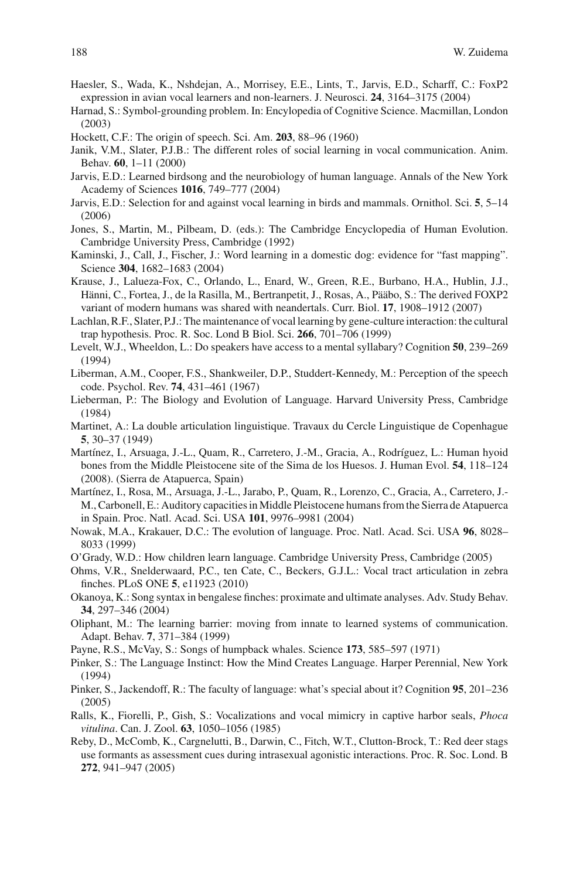- <span id="page-25-17"></span>Haesler, S., Wada, K., Nshdejan, A., Morrisey, E.E., Lints, T., Jarvis, E.D., Scharff, C.: FoxP2 expression in avian vocal learners and non-learners. J. Neurosci. **24**, 3164–3175 (2004)
- <span id="page-25-21"></span>Harnad, S.: Symbol-grounding problem. In: Encylopedia of Cognitive Science. Macmillan, London (2003)
- <span id="page-25-10"></span>Hockett, C.F.: The origin of speech. Sci. Am. **203**, 88–96 (1960)
- <span id="page-25-11"></span>Janik, V.M., Slater, P.J.B.: The different roles of social learning in vocal communication. Anim. Behav. **60**, 1–11 (2000)
- <span id="page-25-13"></span>Jarvis, E.D.: Learned birdsong and the neurobiology of human language. Annals of the New York Academy of Sciences **1016**, 749–777 (2004)
- <span id="page-25-14"></span>Jarvis, E.D.: Selection for and against vocal learning in birds and mammals. Ornithol. Sci. **5**, 5–14 (2006)
- <span id="page-25-6"></span>Jones, S., Martin, M., Pilbeam, D. (eds.): The Cambridge Encyclopedia of Human Evolution. Cambridge University Press, Cambridge (1992)
- <span id="page-25-20"></span>Kaminski, J., Call, J., Fischer, J.: Word learning in a domestic dog: evidence for "fast mapping". Science **304**, 1682–1683 (2004)
- <span id="page-25-18"></span>Krause, J., Lalueza-Fox, C., Orlando, L., Enard, W., Green, R.E., Burbano, H.A., Hublin, J.J., Hänni, C., Fortea, J., de la Rasilla, M., Bertranpetit, J., Rosas, A., Pääbo, S.: The derived FOXP2 variant of modern humans was shared with neandertals. Curr. Biol. **17**, 1908–1912 (2007)
- <span id="page-25-15"></span>Lachlan, R.F., Slater, P.J.: The maintenance of vocal learning by gene-culture interaction: the cultural trap hypothesis. Proc. R. Soc. Lond B Biol. Sci. **266**, 701–706 (1999)
- <span id="page-25-1"></span>Levelt, W.J., Wheeldon, L.: Do speakers have access to a mental syllabary? Cognition **50**, 239–269 (1994)
- <span id="page-25-9"></span>Liberman, A.M., Cooper, F.S., Shankweiler, D.P., Studdert-Kennedy, M.: Perception of the speech code. Psychol. Rev. **74**, 431–461 (1967)
- <span id="page-25-2"></span>Lieberman, P.: The Biology and Evolution of Language. Harvard University Press, Cambridge (1984)
- <span id="page-25-22"></span>Martinet, A.: La double articulation linguistique. Travaux du Cercle Linguistique de Copenhague **5**, 30–37 (1949)
- <span id="page-25-5"></span>Martínez, I., Arsuaga, J.-L., Quam, R., Carretero, J.-M., Gracia, A., Rodríguez, L.: Human hyoid bones from the Middle Pleistocene site of the Sima de los Huesos. J. Human Evol. **54**, 118–124 (2008). (Sierra de Atapuerca, Spain)
- <span id="page-25-8"></span>Martínez, I., Rosa, M., Arsuaga, J.-L., Jarabo, P., Quam, R., Lorenzo, C., Gracia, A., Carretero, J.- M., Carbonell, E.: Auditory capacities in Middle Pleistocene humans from the Sierra de Atapuerca in Spain. Proc. Natl. Acad. Sci. USA **101**, 9976–9981 (2004)
- <span id="page-25-23"></span>Nowak, M.A., Krakauer, D.C.: The evolution of language. Proc. Natl. Acad. Sci. USA **96**, 8028– 8033 (1999)
- <span id="page-25-19"></span>O'Grady, W.D.: How children learn language. Cambridge University Press, Cambridge (2005)
- <span id="page-25-7"></span>Ohms, V.R., Snelderwaard, P.C., ten Cate, C., Beckers, G.J.L.: Vocal tract articulation in zebra finches. PLoS ONE **5**, e11923 (2010)
- <span id="page-25-24"></span>Okanoya, K.: Song syntax in bengalese finches: proximate and ultimate analyses. Adv. Study Behav. **34**, 297–346 (2004)
- <span id="page-25-16"></span>Oliphant, M.: The learning barrier: moving from innate to learned systems of communication. Adapt. Behav. **7**, 371–384 (1999)
- <span id="page-25-12"></span>Payne, R.S., McVay, S.: Songs of humpback whales. Science **173**, 585–597 (1971)
- <span id="page-25-25"></span>Pinker, S.: The Language Instinct: How the Mind Creates Language. Harper Perennial, New York (1994)
- <span id="page-25-0"></span>Pinker, S., Jackendoff, R.: The faculty of language: what's special about it? Cognition **95**, 201–236 (2005)
- <span id="page-25-4"></span>Ralls, K., Fiorelli, P., Gish, S.: Vocalizations and vocal mimicry in captive harbor seals, *Phoca vitulina*. Can. J. Zool. **63**, 1050–1056 (1985)
- <span id="page-25-3"></span>Reby, D., McComb, K., Cargnelutti, B., Darwin, C., Fitch, W.T., Clutton-Brock, T.: Red deer stags use formants as assessment cues during intrasexual agonistic interactions. Proc. R. Soc. Lond. B **272**, 941–947 (2005)